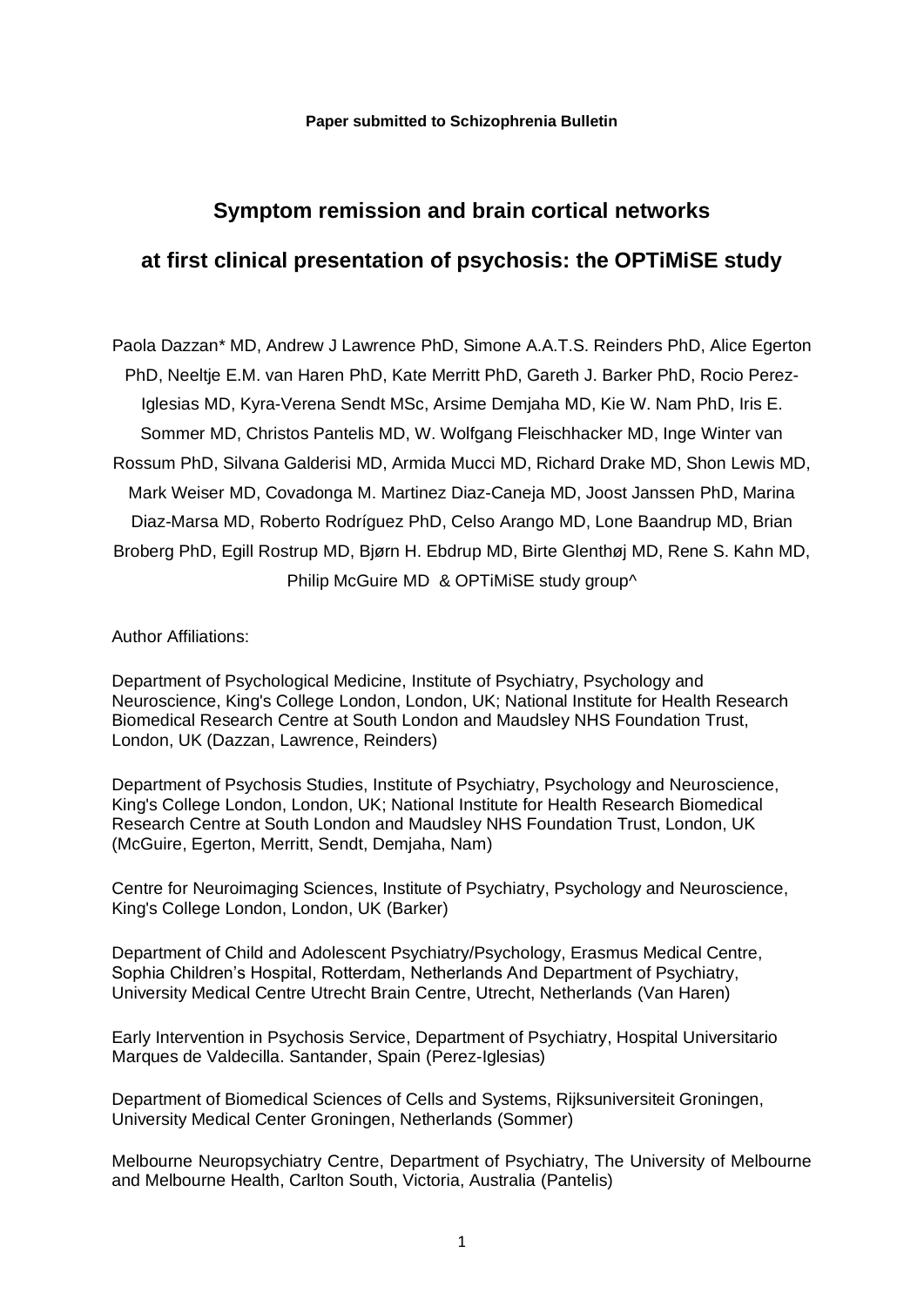# **Symptom remission and brain cortical networks**

# **at first clinical presentation of psychosis: the OPTiMiSE study**

Paola Dazzan\* MD, Andrew J Lawrence PhD, Simone A.A.T.S. Reinders PhD, Alice Egerton PhD, Neeltje E.M. van Haren PhD, Kate Merritt PhD, Gareth J. Barker PhD, Rocio Perez-Iglesias MD, Kyra-Verena Sendt MSc, Arsime Demjaha MD, Kie W. Nam PhD, Iris E. Sommer MD, Christos Pantelis MD, W. Wolfgang Fleischhacker MD, Inge Winter van Rossum PhD, Silvana Galderisi MD, Armida Mucci MD, Richard Drake MD, Shon Lewis MD, Mark Weiser MD, Covadonga M. Martinez Diaz-Caneja MD, Joost Janssen PhD, Marina Diaz-Marsa MD, Roberto Rodríguez PhD, Celso Arango MD, Lone Baandrup MD, Brian Broberg PhD, Egill Rostrup MD, Bjørn H. Ebdrup MD, Birte Glenthøj MD, Rene S. Kahn MD, Philip McGuire MD & OPTiMiSE study group^

Author Affiliations:

Department of Psychological Medicine, Institute of Psychiatry, Psychology and Neuroscience, King's College London, London, UK; National Institute for Health Research Biomedical Research Centre at South London and Maudsley NHS Foundation Trust, London, UK (Dazzan, Lawrence, Reinders)

Department of Psychosis Studies, Institute of Psychiatry, Psychology and Neuroscience, King's College London, London, UK; National Institute for Health Research Biomedical Research Centre at South London and Maudsley NHS Foundation Trust, London, UK (McGuire, Egerton, Merritt, Sendt, Demjaha, Nam)

Centre for Neuroimaging Sciences, Institute of Psychiatry, Psychology and Neuroscience, King's College London, London, UK (Barker)

Department of Child and Adolescent Psychiatry/Psychology, Erasmus Medical Centre, Sophia Children's Hospital, Rotterdam, Netherlands And Department of Psychiatry, University Medical Centre Utrecht Brain Centre, Utrecht, Netherlands (Van Haren)

Early Intervention in Psychosis Service, Department of Psychiatry, Hospital Universitario Marques de Valdecilla. Santander, Spain (Perez-Iglesias)

Department of Biomedical Sciences of Cells and Systems, Rijksuniversiteit Groningen, University Medical Center Groningen, Netherlands (Sommer)

Melbourne Neuropsychiatry Centre, Department of Psychiatry, The University of Melbourne and Melbourne Health, Carlton South, Victoria, Australia (Pantelis)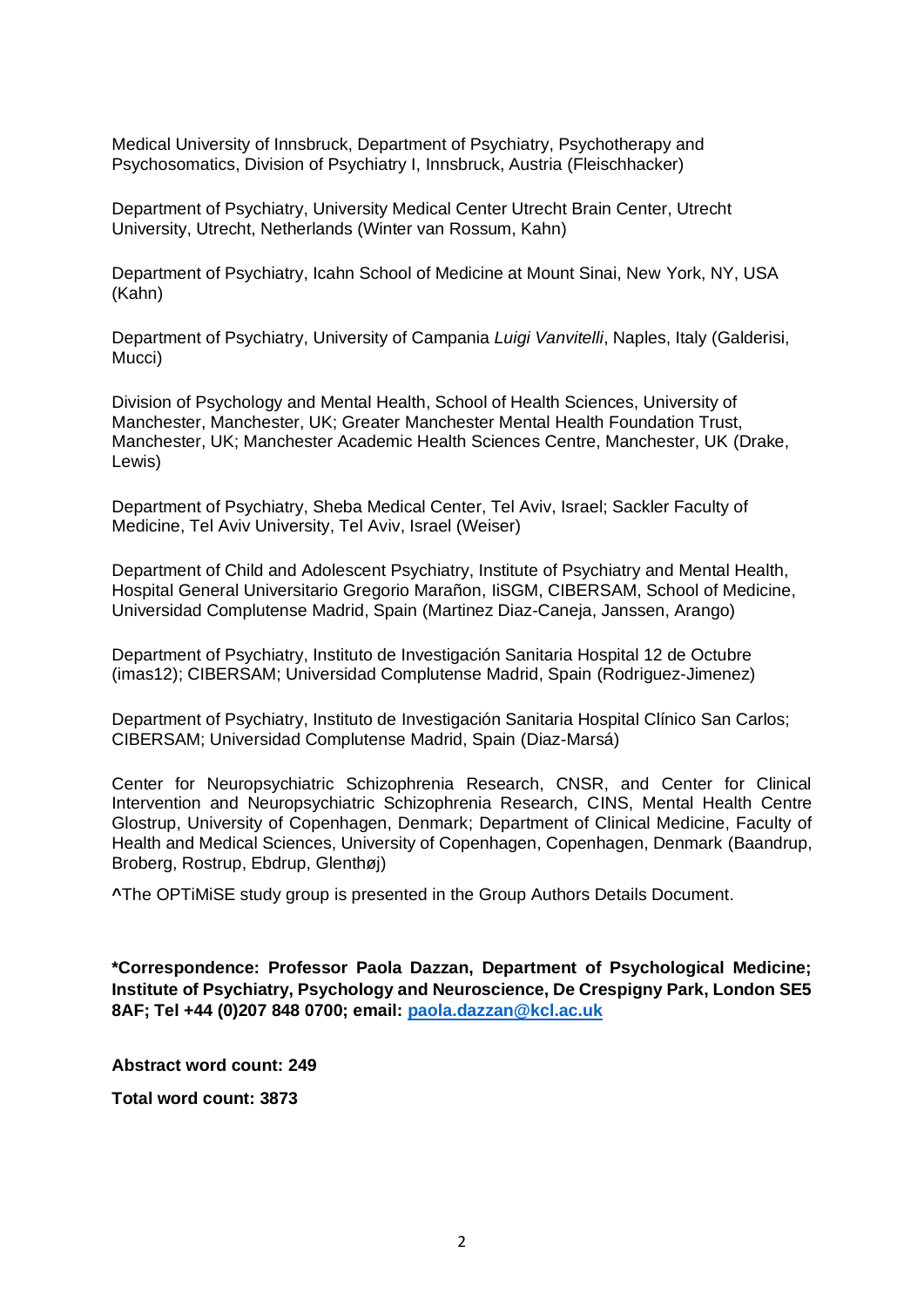Medical University of Innsbruck, Department of Psychiatry, Psychotherapy and Psychosomatics, Division of Psychiatry I, Innsbruck, Austria (Fleischhacker)

Department of Psychiatry, University Medical Center Utrecht Brain Center, Utrecht University, Utrecht, Netherlands (Winter van Rossum, Kahn)

Department of Psychiatry, Icahn School of Medicine at Mount Sinai, New York, NY, USA (Kahn)

Department of Psychiatry, University of Campania *Luigi Vanvitelli*, Naples, Italy (Galderisi, Mucci)

Division of Psychology and Mental Health, School of Health Sciences, University of Manchester, Manchester, UK; Greater Manchester Mental Health Foundation Trust, Manchester, UK; Manchester Academic Health Sciences Centre, Manchester, UK (Drake, Lewis)

Department of Psychiatry, Sheba Medical Center, Tel Aviv, Israel; Sackler Faculty of Medicine, Tel Aviv University, Tel Aviv, Israel (Weiser)

Department of Child and Adolescent Psychiatry, Institute of Psychiatry and Mental Health, Hospital General Universitario Gregorio Marañon, IiSGM, CIBERSAM, School of Medicine, Universidad Complutense Madrid, Spain (Martinez Diaz-Caneja, Janssen, Arango)

Department of Psychiatry, Instituto de Investigación Sanitaria Hospital 12 de Octubre (imas12); CIBERSAM; Universidad Complutense Madrid, Spain (Rodriguez-Jimenez)

Department of Psychiatry, Instituto de Investigación Sanitaria Hospital Clínico San Carlos; CIBERSAM; Universidad Complutense Madrid, Spain (Diaz-Marsá)

Center for Neuropsychiatric Schizophrenia Research, CNSR, and Center for Clinical Intervention and Neuropsychiatric Schizophrenia Research, CINS, Mental Health Centre Glostrup, University of Copenhagen, Denmark; Department of Clinical Medicine, Faculty of Health and Medical Sciences, University of Copenhagen, Copenhagen, Denmark (Baandrup, Broberg, Rostrup, Ebdrup, Glenthøj)

**^**The OPTiMiSE study group is presented in the Group Authors Details Document.

**\*Correspondence: Professor Paola Dazzan, Department of Psychological Medicine; Institute of Psychiatry, Psychology and Neuroscience, De Crespigny Park, London SE5 8AF; Tel +44 (0)207 848 0700; email: [paola.dazzan@kcl.ac.uk](mailto:paola.dazzan@kcl.ac.uk)**

**Abstract word count: 249**

**Total word count: 3873**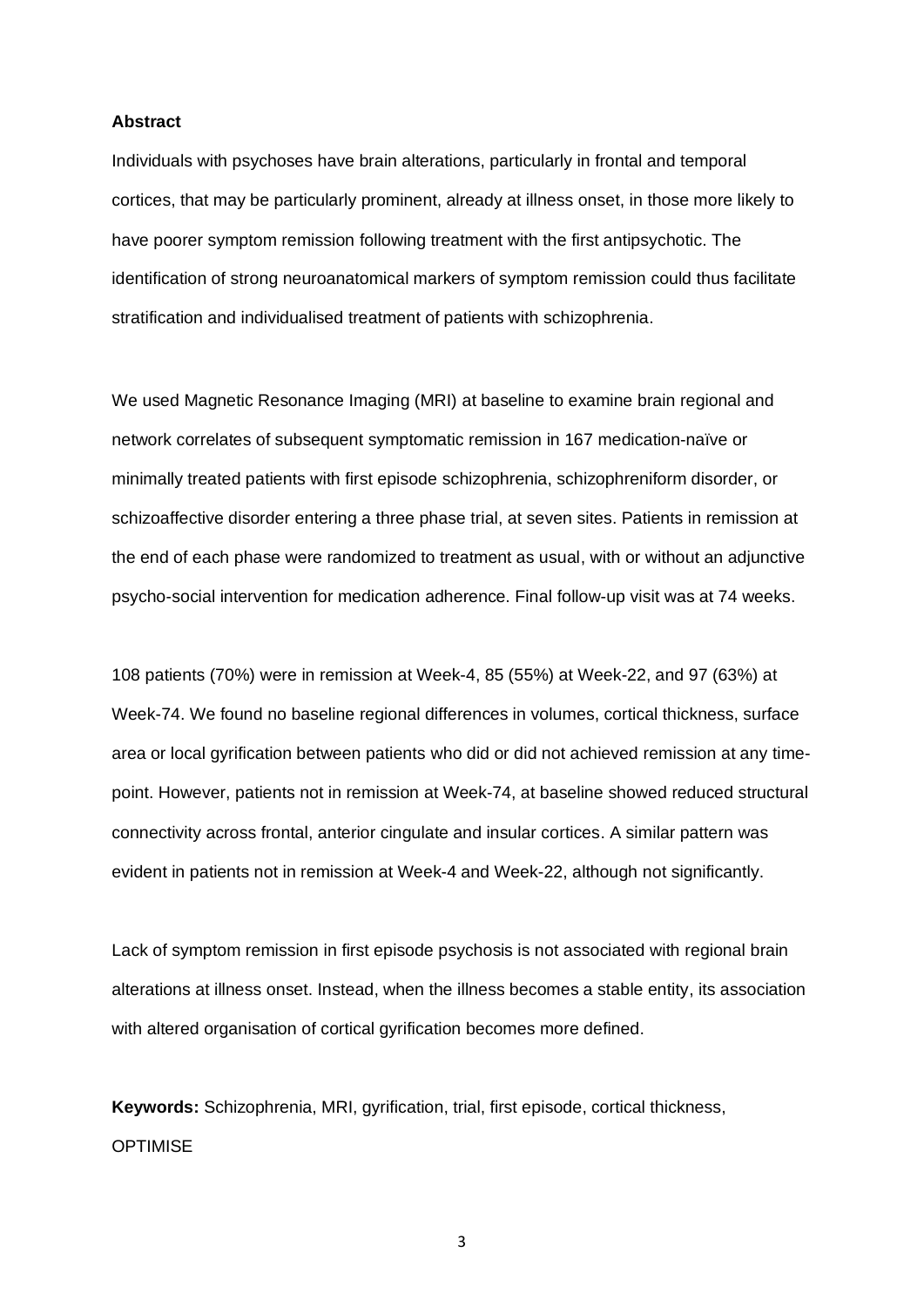#### **Abstract**

Individuals with psychoses have brain alterations, particularly in frontal and temporal cortices, that may be particularly prominent, already at illness onset, in those more likely to have poorer symptom remission following treatment with the first antipsychotic. The identification of strong neuroanatomical markers of symptom remission could thus facilitate stratification and individualised treatment of patients with schizophrenia.

We used Magnetic Resonance Imaging (MRI) at baseline to examine brain regional and network correlates of subsequent symptomatic remission in 167 medication-naïve or minimally treated patients with first episode schizophrenia, schizophreniform disorder, or schizoaffective disorder entering a three phase trial, at seven sites. Patients in remission at the end of each phase were randomized to treatment as usual, with or without an adjunctive psycho-social intervention for medication adherence. Final follow-up visit was at 74 weeks.

108 patients (70%) were in remission at Week-4, 85 (55%) at Week-22, and 97 (63%) at Week-74. We found no baseline regional differences in volumes, cortical thickness, surface area or local gyrification between patients who did or did not achieved remission at any timepoint. However, patients not in remission at Week-74, at baseline showed reduced structural connectivity across frontal, anterior cingulate and insular cortices. A similar pattern was evident in patients not in remission at Week-4 and Week-22, although not significantly.

Lack of symptom remission in first episode psychosis is not associated with regional brain alterations at illness onset. Instead, when the illness becomes a stable entity, its association with altered organisation of cortical gyrification becomes more defined.

**Keywords:** Schizophrenia, MRI, gyrification, trial, first episode, cortical thickness, **OPTIMISE**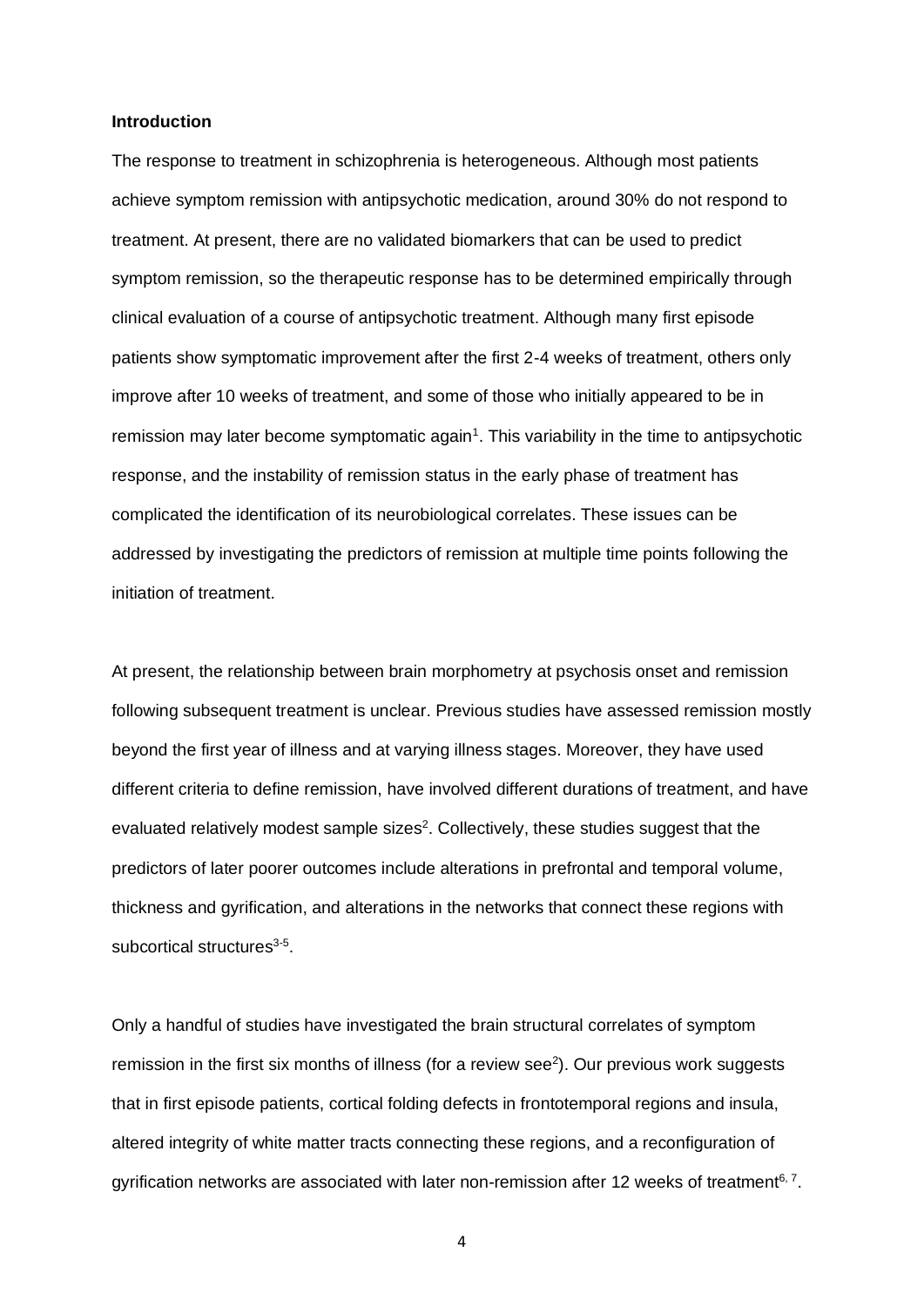## **Introduction**

The response to treatment in schizophrenia is heterogeneous. Although most patients achieve symptom remission with antipsychotic medication, around 30% do not respond to treatment. At present, there are no validated biomarkers that can be used to predict symptom remission, so the therapeutic response has to be determined empirically through clinical evaluation of a course of antipsychotic treatment. Although many first episode patients show symptomatic improvement after the first 2-4 weeks of treatment, others only improve after 10 weeks of treatment, and some of those who initially appeared to be in remission may later become symptomatic again<sup>1</sup>. This variability in the time to antipsychotic response, and the instability of remission status in the early phase of treatment has complicated the identification of its neurobiological correlates. These issues can be addressed by investigating the predictors of remission at multiple time points following the initiation of treatment.

At present, the relationship between brain morphometry at psychosis onset and remission following subsequent treatment is unclear. Previous studies have assessed remission mostly beyond the first year of illness and at varying illness stages. Moreover, they have used different criteria to define remission, have involved different durations of treatment, and have evaluated relatively modest sample sizes<sup>2</sup>. Collectively, these studies suggest that the predictors of later poorer outcomes include alterations in prefrontal and temporal volume, thickness and gyrification, and alterations in the networks that connect these regions with subcortical structures<sup>3-5</sup>.

Only a handful of studies have investigated the brain structural correlates of symptom remission in the first six months of illness (for a review see $2$ ). Our previous work suggests that in first episode patients, cortical folding defects in frontotemporal regions and insula, altered integrity of white matter tracts connecting these regions, and a reconfiguration of gyrification networks are associated with later non-remission after 12 weeks of treatment<sup>6, 7</sup>.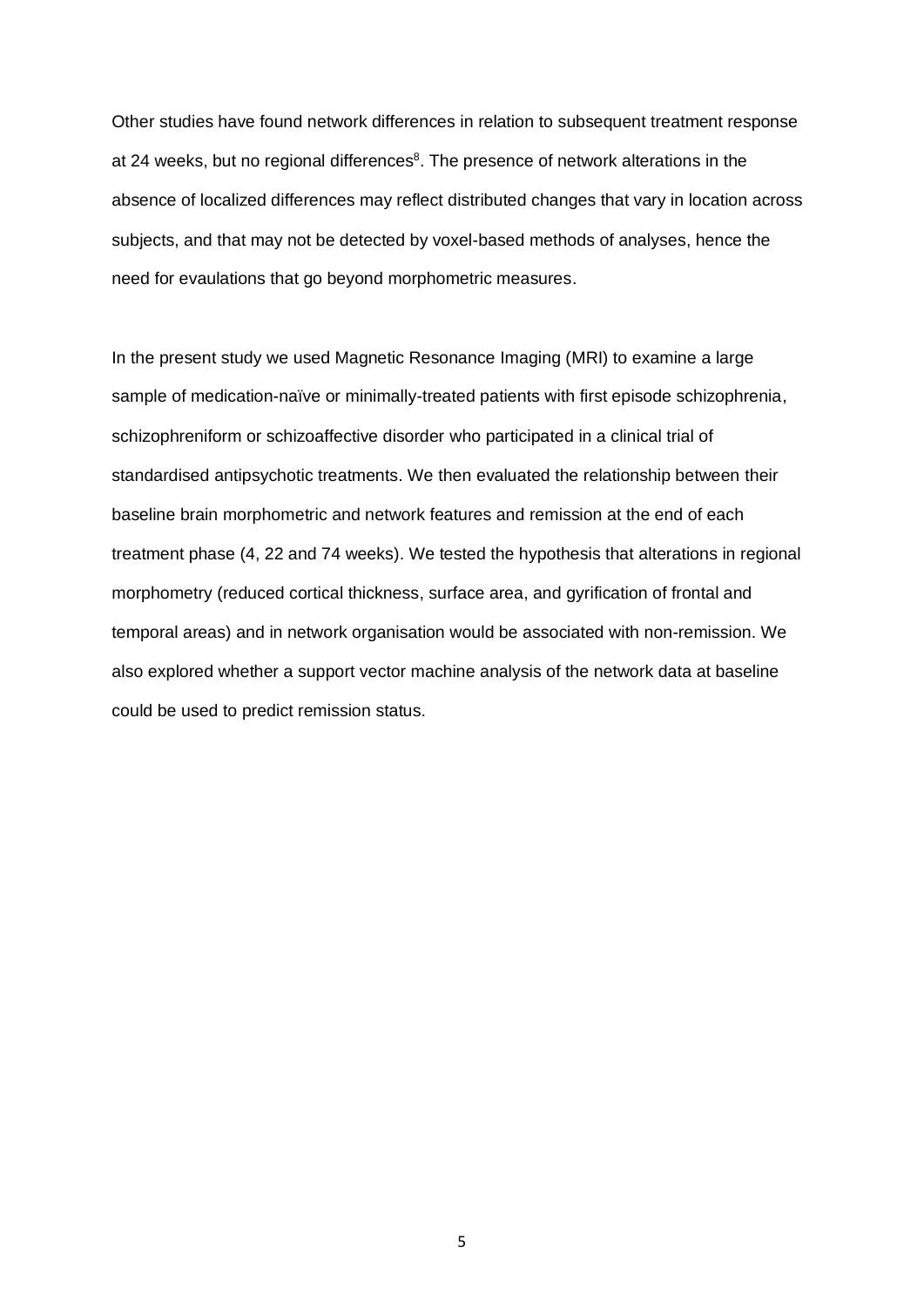Other studies have found network differences in relation to subsequent treatment response at 24 weeks, but no regional differences<sup>8</sup>. The presence of network alterations in the absence of localized differences may reflect distributed changes that vary in location across subjects, and that may not be detected by voxel-based methods of analyses, hence the need for evaulations that go beyond morphometric measures.

In the present study we used Magnetic Resonance Imaging (MRI) to examine a large sample of medication-naïve or minimally-treated patients with first episode schizophrenia, schizophreniform or schizoaffective disorder who participated in a clinical trial of standardised antipsychotic treatments. We then evaluated the relationship between their baseline brain morphometric and network features and remission at the end of each treatment phase (4, 22 and 74 weeks). We tested the hypothesis that alterations in regional morphometry (reduced cortical thickness, surface area, and gyrification of frontal and temporal areas) and in network organisation would be associated with non-remission. We also explored whether a support vector machine analysis of the network data at baseline could be used to predict remission status.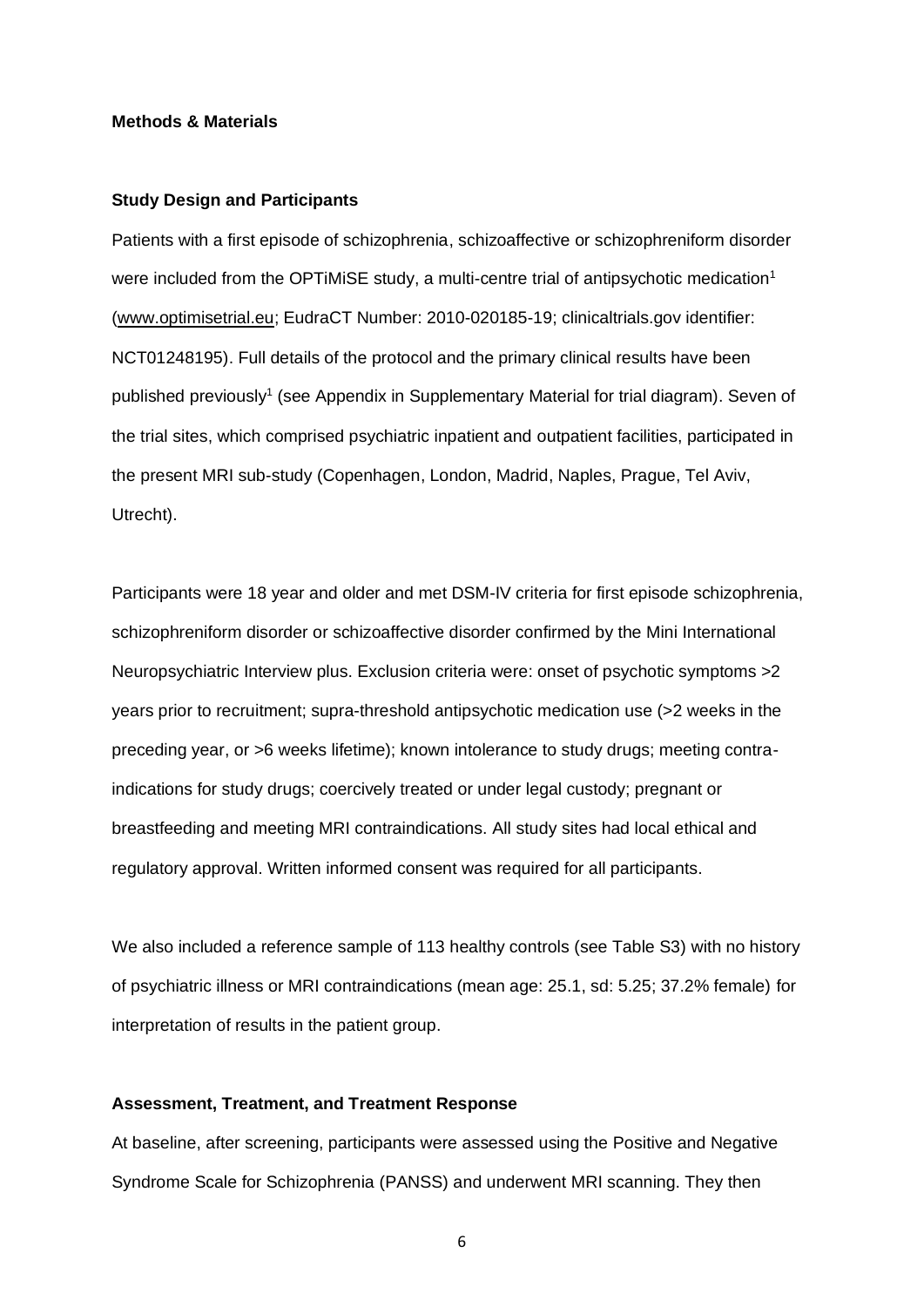# **Methods & Materials**

#### **Study Design and Participants**

Patients with a first episode of schizophrenia, schizoaffective or schizophreniform disorder were included from the OPTiMiSE study, a multi-centre trial of antipsychotic medication<sup>1</sup> [\(www.optimisetrial.eu;](http://www.optimisetrial.eu/) EudraCT Number: 2010-020185-19; clinicaltrials.gov identifier: NCT01248195). Full details of the protocol and the primary clinical results have been published previously<sup>1</sup> (see Appendix in Supplementary Material for trial diagram). Seven of the trial sites, which comprised psychiatric inpatient and outpatient facilities, participated in the present MRI sub-study (Copenhagen, London, Madrid, Naples, Prague, Tel Aviv, Utrecht).

Participants were 18 year and older and met DSM-IV criteria for first episode schizophrenia, schizophreniform disorder or schizoaffective disorder confirmed by the Mini International Neuropsychiatric Interview plus. Exclusion criteria were: onset of psychotic symptoms >2 years prior to recruitment; supra-threshold antipsychotic medication use (>2 weeks in the preceding year, or >6 weeks lifetime); known intolerance to study drugs; meeting contraindications for study drugs; coercively treated or under legal custody; pregnant or breastfeeding and meeting MRI contraindications. All study sites had local ethical and regulatory approval. Written informed consent was required for all participants.

We also included a reference sample of 113 healthy controls (see Table S3) with no history of psychiatric illness or MRI contraindications (mean age: 25.1, sd: 5.25; 37.2% female) for interpretation of results in the patient group.

# **Assessment, Treatment, and Treatment Response**

At baseline, after screening, participants were assessed using the Positive and Negative Syndrome Scale for Schizophrenia (PANSS) and underwent MRI scanning. They then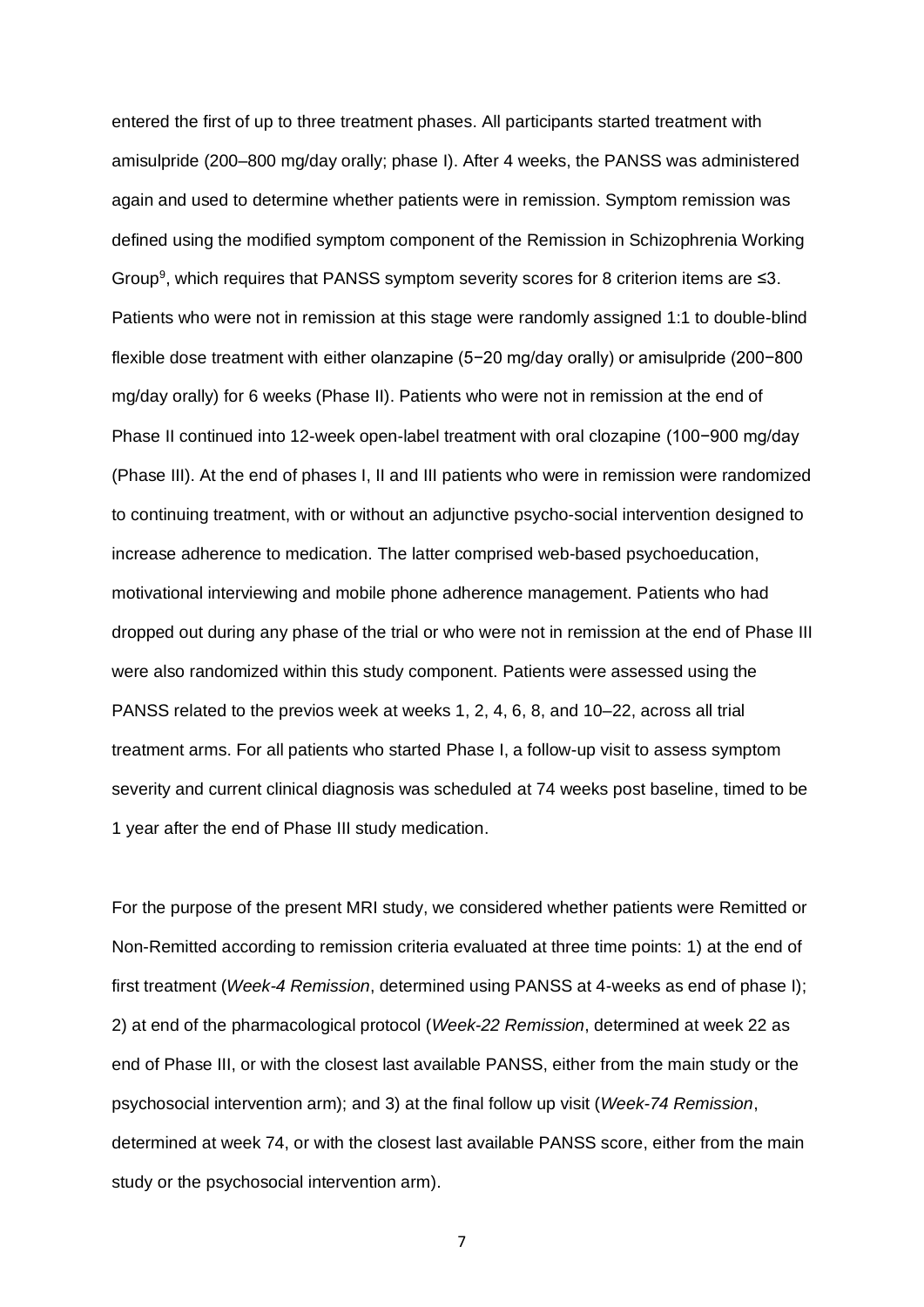entered the first of up to three treatment phases. All participants started treatment with amisulpride (200–800 mg/day orally; phase I). After 4 weeks, the PANSS was administered again and used to determine whether patients were in remission. Symptom remission was defined using the modified symptom component of the Remission in Schizophrenia Working Group<sup>9</sup>, which requires that PANSS symptom severity scores for 8 criterion items are  $\leq 3$ . Patients who were not in remission at this stage were randomly assigned 1:1 to double-blind flexible dose treatment with either olanzapine (5−20 mg/day orally) or amisulpride (200−800 mg/day orally) for 6 weeks (Phase II). Patients who were not in remission at the end of Phase II continued into 12-week open-label treatment with oral clozapine (100−900 mg/day (Phase III). At the end of phases I, II and III patients who were in remission were randomized to continuing treatment, with or without an adjunctive psycho-social intervention designed to increase adherence to medication. The latter comprised web-based psychoeducation, motivational interviewing and mobile phone adherence management. Patients who had dropped out during any phase of the trial or who were not in remission at the end of Phase III were also randomized within this study component. Patients were assessed using the PANSS related to the previos week at weeks 1, 2, 4, 6, 8, and 10–22, across all trial treatment arms. For all patients who started Phase I, a follow-up visit to assess symptom severity and current clinical diagnosis was scheduled at 74 weeks post baseline, timed to be 1 year after the end of Phase III study medication.

For the purpose of the present MRI study, we considered whether patients were Remitted or Non-Remitted according to remission criteria evaluated at three time points: 1) at the end of first treatment (*Week-4 Remission*, determined using PANSS at 4-weeks as end of phase I); 2) at end of the pharmacological protocol (*Week-22 Remission*, determined at week 22 as end of Phase III, or with the closest last available PANSS, either from the main study or the psychosocial intervention arm); and 3) at the final follow up visit (*Week-74 Remission*, determined at week 74, or with the closest last available PANSS score, either from the main study or the psychosocial intervention arm).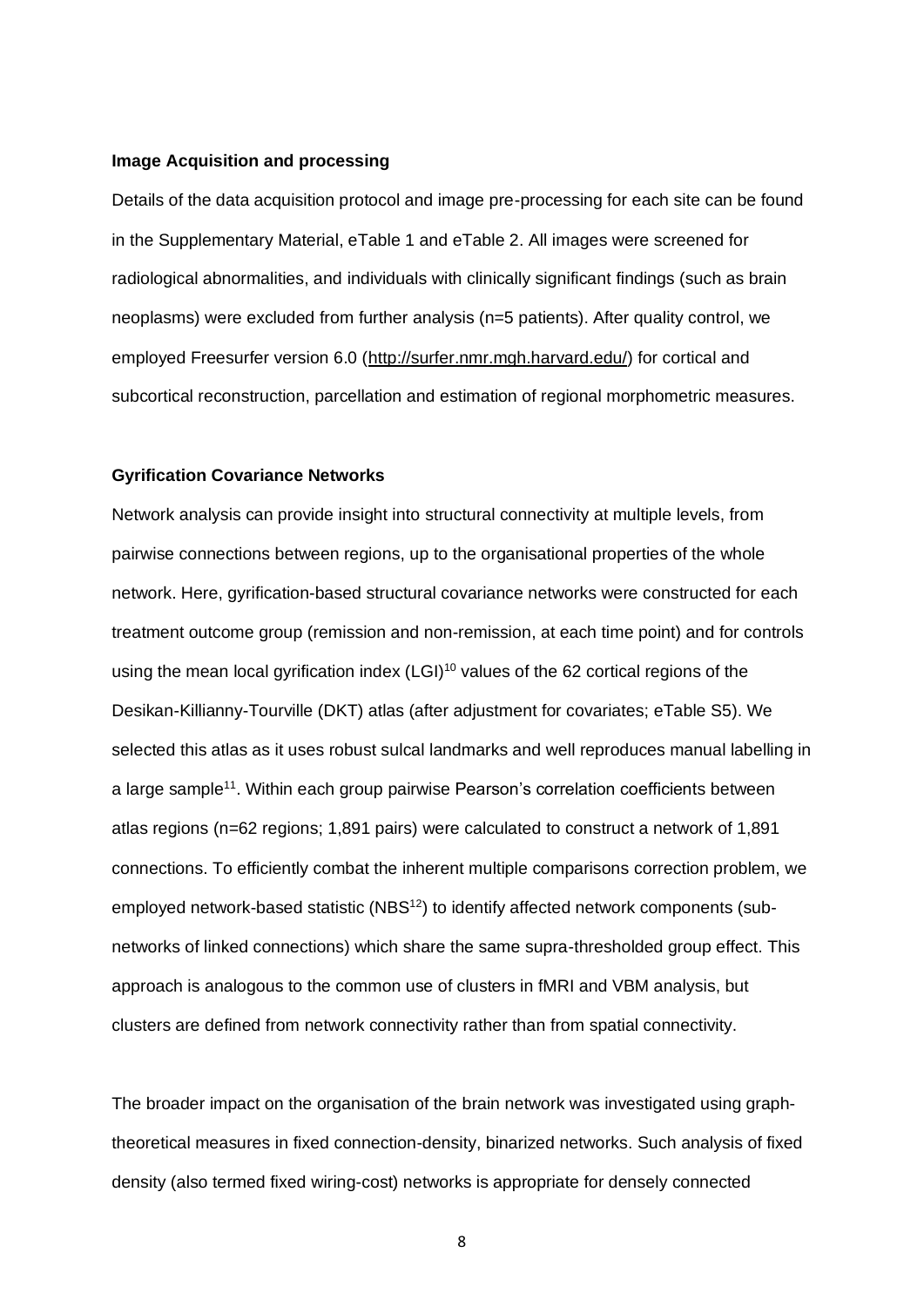# **Image Acquisition and processing**

Details of the data acquisition protocol and image pre-processing for each site can be found in the Supplementary Material, eTable 1 and eTable 2. All images were screened for radiological abnormalities, and individuals with clinically significant findings (such as brain neoplasms) were excluded from further analysis (n=5 patients). After quality control, we employed Freesurfer version 6.0 [\(http://surfer.nmr.mgh.harvard.edu/\)](http://surfer.nmr.mgh.harvard.edu/) for cortical and subcortical reconstruction, parcellation and estimation of regional morphometric measures.

# **Gyrification Covariance Networks**

Network analysis can provide insight into structural connectivity at multiple levels, from pairwise connections between regions, up to the organisational properties of the whole network. Here, gyrification-based structural covariance networks were constructed for each treatment outcome group (remission and non-remission, at each time point) and for controls using the mean local gyrification index (LGI)<sup>10</sup> values of the 62 cortical regions of the Desikan-Killianny-Tourville (DKT) atlas (after adjustment for covariates; eTable S5). We selected this atlas as it uses robust sulcal landmarks and well reproduces manual labelling in a large sample<sup>11</sup>. Within each group pairwise Pearson's correlation coefficients between atlas regions (n=62 regions; 1,891 pairs) were calculated to construct a network of 1,891 connections. To efficiently combat the inherent multiple comparisons correction problem, we employed network-based statistic (NBS<sup>12</sup>) to identify affected network components (subnetworks of linked connections) which share the same supra-thresholded group effect. This approach is analogous to the common use of clusters in fMRI and VBM analysis, but clusters are defined from network connectivity rather than from spatial connectivity.

The broader impact on the organisation of the brain network was investigated using graphtheoretical measures in fixed connection-density, binarized networks. Such analysis of fixed density (also termed fixed wiring-cost) networks is appropriate for densely connected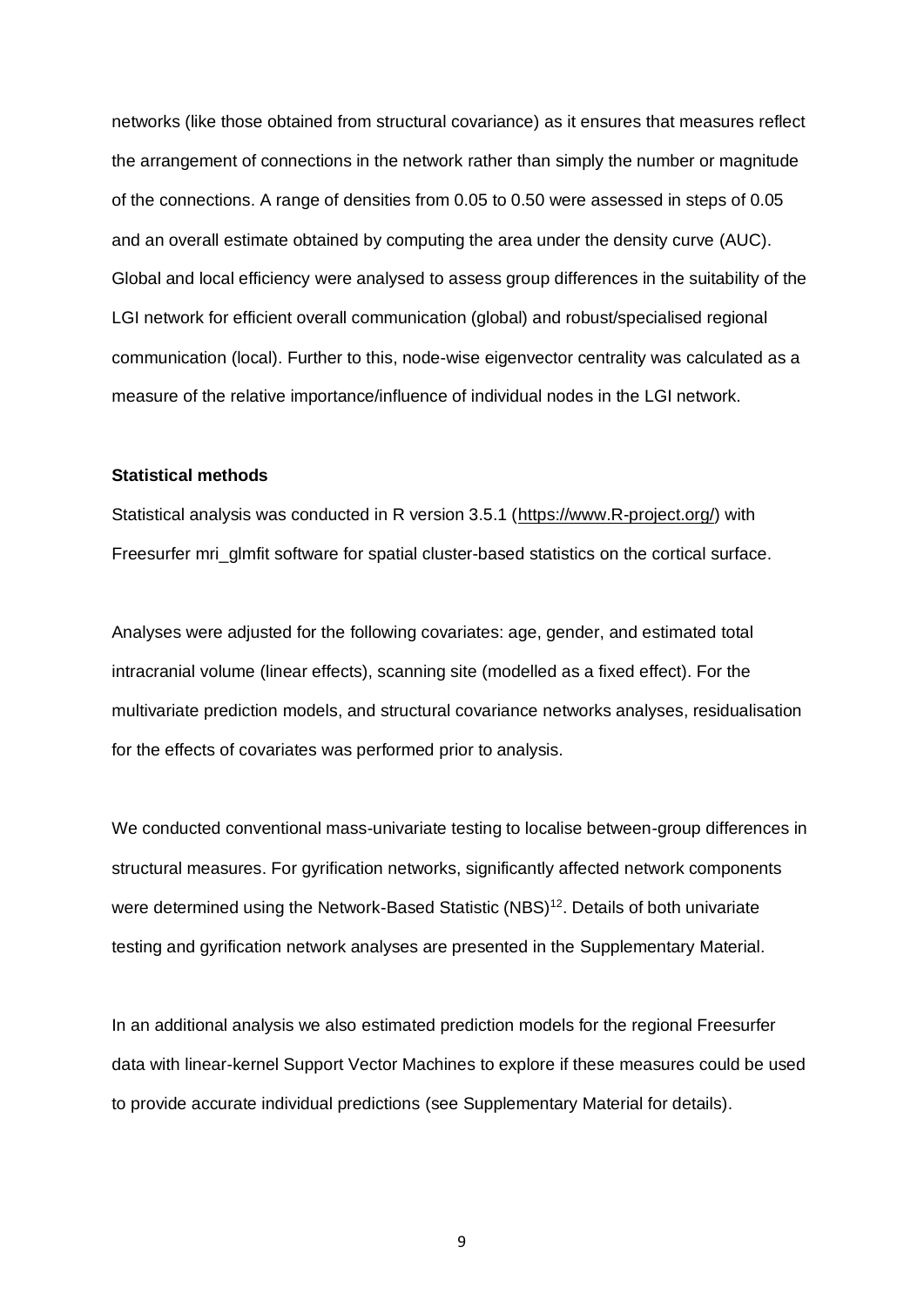networks (like those obtained from structural covariance) as it ensures that measures reflect the arrangement of connections in the network rather than simply the number or magnitude of the connections. A range of densities from 0.05 to 0.50 were assessed in steps of 0.05 and an overall estimate obtained by computing the area under the density curve (AUC). Global and local efficiency were analysed to assess group differences in the suitability of the LGI network for efficient overall communication (global) and robust/specialised regional communication (local). Further to this, node-wise eigenvector centrality was calculated as a measure of the relative importance/influence of individual nodes in the LGI network.

## **Statistical methods**

Statistical analysis was conducted in R version 3.5.1 [\(https://www.R-project.org/\)](https://www.r-project.org/) with Freesurfer mri\_glmfit software for spatial cluster-based statistics on the cortical surface.

Analyses were adjusted for the following covariates: age, gender, and estimated total intracranial volume (linear effects), scanning site (modelled as a fixed effect). For the multivariate prediction models, and structural covariance networks analyses, residualisation for the effects of covariates was performed prior to analysis.

We conducted conventional mass-univariate testing to localise between-group differences in structural measures. For gyrification networks, significantly affected network components were determined using the Network-Based Statistic  $(NBS)^{12}$ . Details of both univariate testing and gyrification network analyses are presented in the Supplementary Material.

In an additional analysis we also estimated prediction models for the regional Freesurfer data with linear-kernel Support Vector Machines to explore if these measures could be used to provide accurate individual predictions (see Supplementary Material for details).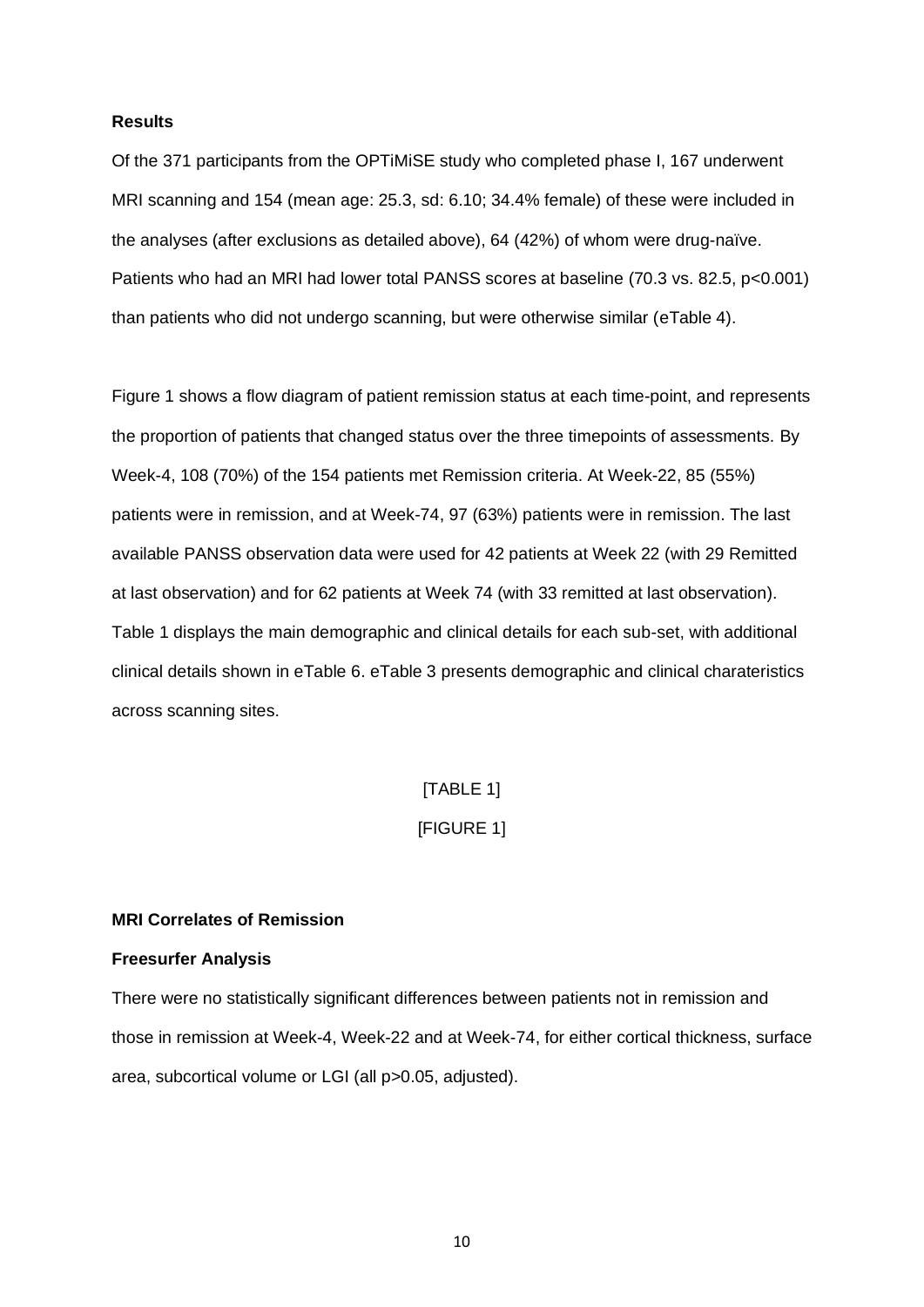#### **Results**

Of the 371 participants from the OPTiMiSE study who completed phase I, 167 underwent MRI scanning and 154 (mean age: 25.3, sd: 6.10; 34.4% female) of these were included in the analyses (after exclusions as detailed above), 64 (42%) of whom were drug-naïve. Patients who had an MRI had lower total PANSS scores at baseline (70.3 vs. 82.5, p<0.001) than patients who did not undergo scanning, but were otherwise similar (eTable 4).

Figure 1 shows a flow diagram of patient remission status at each time-point, and represents the proportion of patients that changed status over the three timepoints of assessments. By Week-4, 108 (70%) of the 154 patients met Remission criteria. At Week-22, 85 (55%) patients were in remission, and at Week-74, 97 (63%) patients were in remission. The last available PANSS observation data were used for 42 patients at Week 22 (with 29 Remitted at last observation) and for 62 patients at Week 74 (with 33 remitted at last observation). Table 1 displays the main demographic and clinical details for each sub-set, with additional clinical details shown in eTable 6. eTable 3 presents demographic and clinical charateristics across scanning sites.

# [TABLE 1]

# [FIGURE 1]

#### **MRI Correlates of Remission**

# **Freesurfer Analysis**

There were no statistically significant differences between patients not in remission and those in remission at Week-4, Week-22 and at Week-74, for either cortical thickness, surface area, subcortical volume or LGI (all p>0.05, adjusted).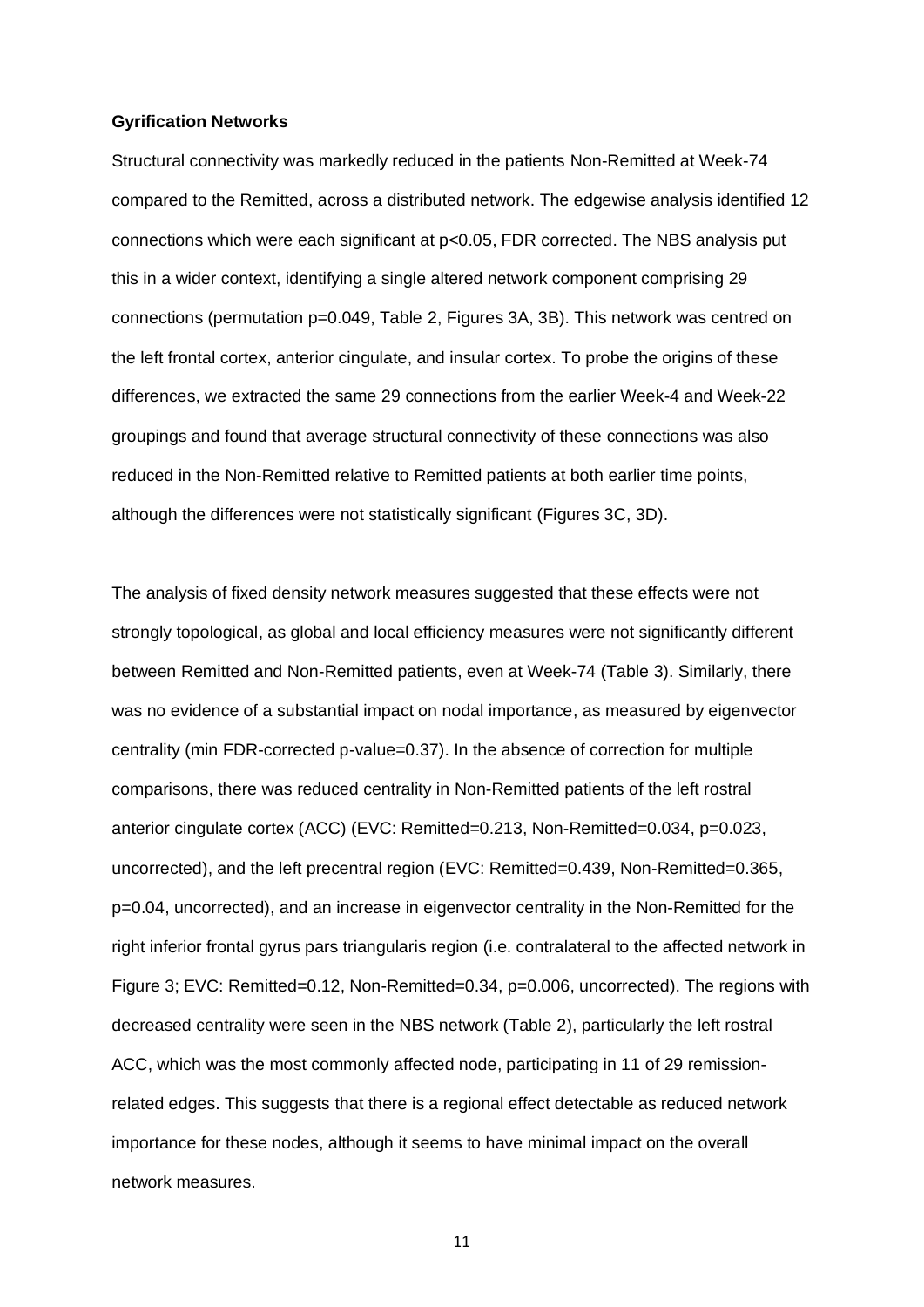#### **Gyrification Networks**

Structural connectivity was markedly reduced in the patients Non-Remitted at Week-74 compared to the Remitted, across a distributed network. The edgewise analysis identified 12 connections which were each significant at p<0.05, FDR corrected. The NBS analysis put this in a wider context, identifying a single altered network component comprising 29 connections (permutation p=0.049, Table 2, Figures 3A, 3B). This network was centred on the left frontal cortex, anterior cingulate, and insular cortex. To probe the origins of these differences, we extracted the same 29 connections from the earlier Week-4 and Week-22 groupings and found that average structural connectivity of these connections was also reduced in the Non-Remitted relative to Remitted patients at both earlier time points, although the differences were not statistically significant (Figures 3C, 3D).

The analysis of fixed density network measures suggested that these effects were not strongly topological, as global and local efficiency measures were not significantly different between Remitted and Non-Remitted patients, even at Week-74 (Table 3). Similarly, there was no evidence of a substantial impact on nodal importance, as measured by eigenvector centrality (min FDR-corrected p-value=0.37). In the absence of correction for multiple comparisons, there was reduced centrality in Non-Remitted patients of the left rostral anterior cingulate cortex (ACC) (EVC: Remitted=0.213, Non-Remitted=0.034, p=0.023, uncorrected), and the left precentral region (EVC: Remitted=0.439, Non-Remitted=0.365, p=0.04, uncorrected), and an increase in eigenvector centrality in the Non-Remitted for the right inferior frontal gyrus pars triangularis region (i.e. contralateral to the affected network in Figure 3; EVC: Remitted=0.12, Non-Remitted=0.34, p=0.006, uncorrected). The regions with decreased centrality were seen in the NBS network (Table 2), particularly the left rostral ACC, which was the most commonly affected node, participating in 11 of 29 remissionrelated edges. This suggests that there is a regional effect detectable as reduced network importance for these nodes, although it seems to have minimal impact on the overall network measures.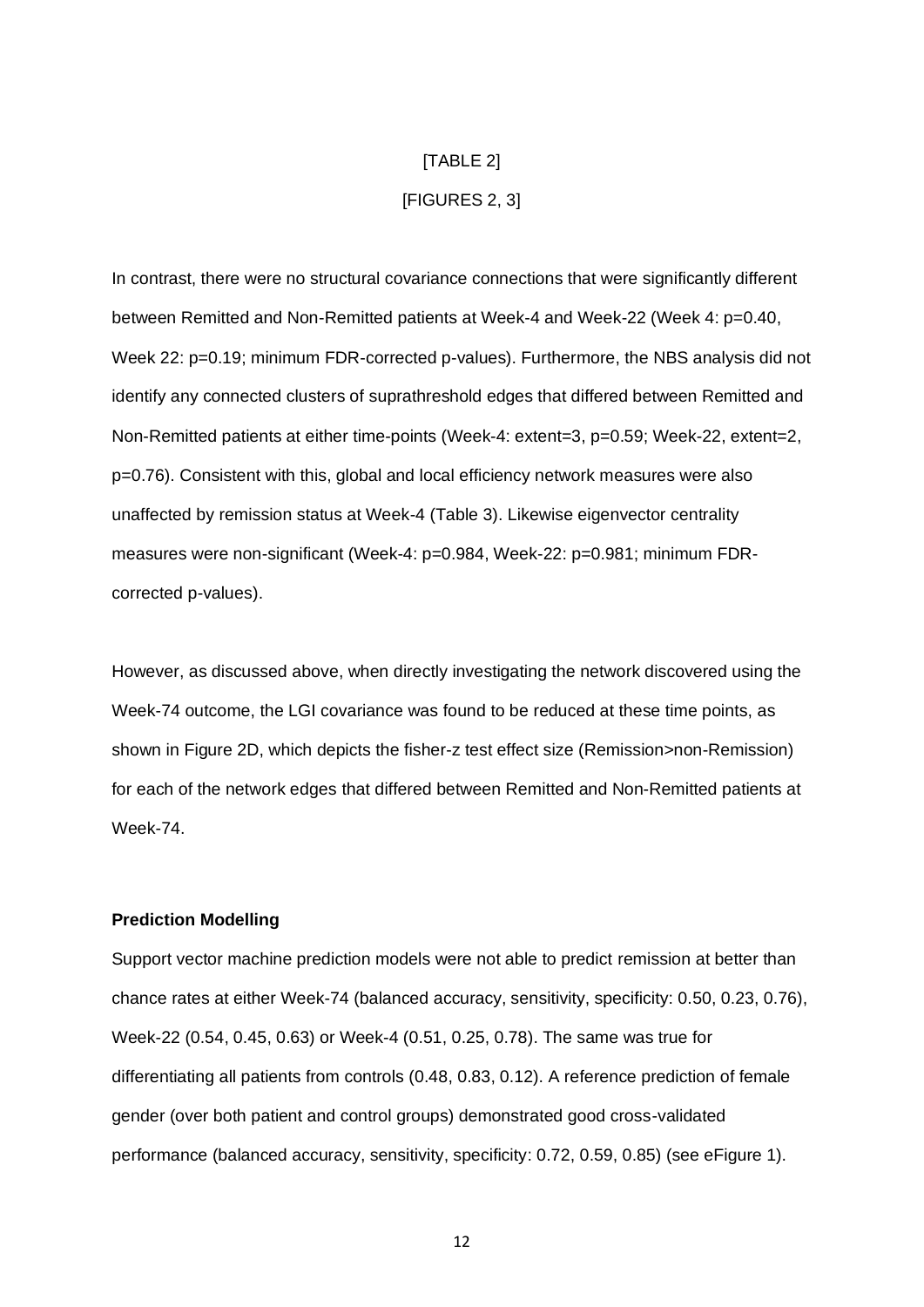# [TABLE 2]

# [FIGURES 2, 3]

In contrast, there were no structural covariance connections that were significantly different between Remitted and Non-Remitted patients at Week-4 and Week-22 (Week 4: p=0.40, Week 22: p=0.19; minimum FDR-corrected p-values). Furthermore, the NBS analysis did not identify any connected clusters of suprathreshold edges that differed between Remitted and Non-Remitted patients at either time-points (Week-4: extent=3, p=0.59; Week-22, extent=2, p=0.76). Consistent with this, global and local efficiency network measures were also unaffected by remission status at Week-4 (Table 3). Likewise eigenvector centrality measures were non-significant (Week-4: p=0.984, Week-22: p=0.981; minimum FDRcorrected p-values).

However, as discussed above, when directly investigating the network discovered using the Week-74 outcome, the LGI covariance was found to be reduced at these time points, as shown in Figure 2D, which depicts the fisher-z test effect size (Remission>non-Remission) for each of the network edges that differed between Remitted and Non-Remitted patients at Week-74.

# **Prediction Modelling**

Support vector machine prediction models were not able to predict remission at better than chance rates at either Week-74 (balanced accuracy, sensitivity, specificity: 0.50, 0.23, 0.76), Week-22 (0.54, 0.45, 0.63) or Week-4 (0.51, 0.25, 0.78). The same was true for differentiating all patients from controls (0.48, 0.83, 0.12). A reference prediction of female gender (over both patient and control groups) demonstrated good cross-validated performance (balanced accuracy, sensitivity, specificity: 0.72, 0.59, 0.85) (see eFigure 1).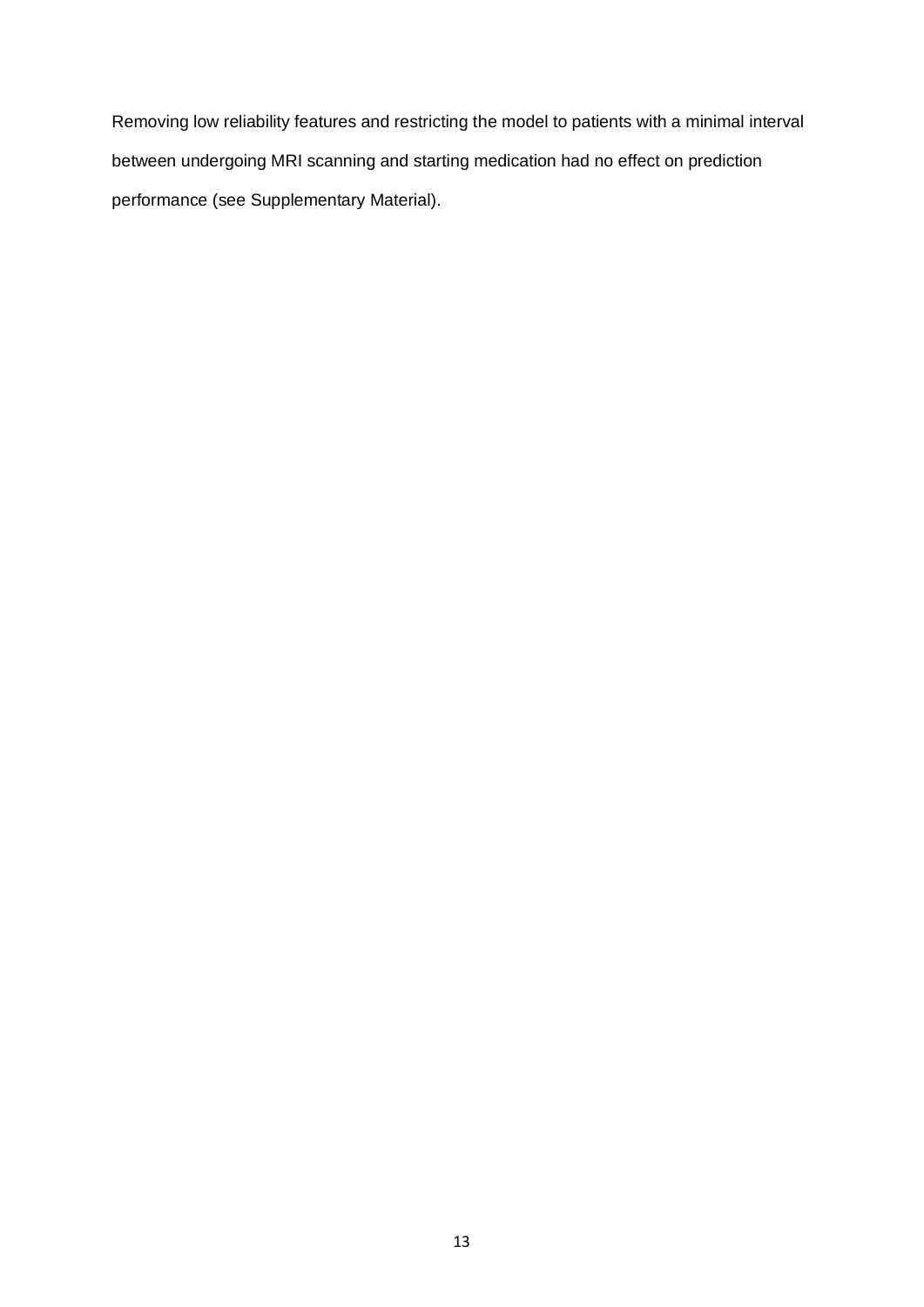Removing low reliability features and restricting the model to patients with a minimal interval between undergoing MRI scanning and starting medication had no effect on prediction performance (see Supplementary Material).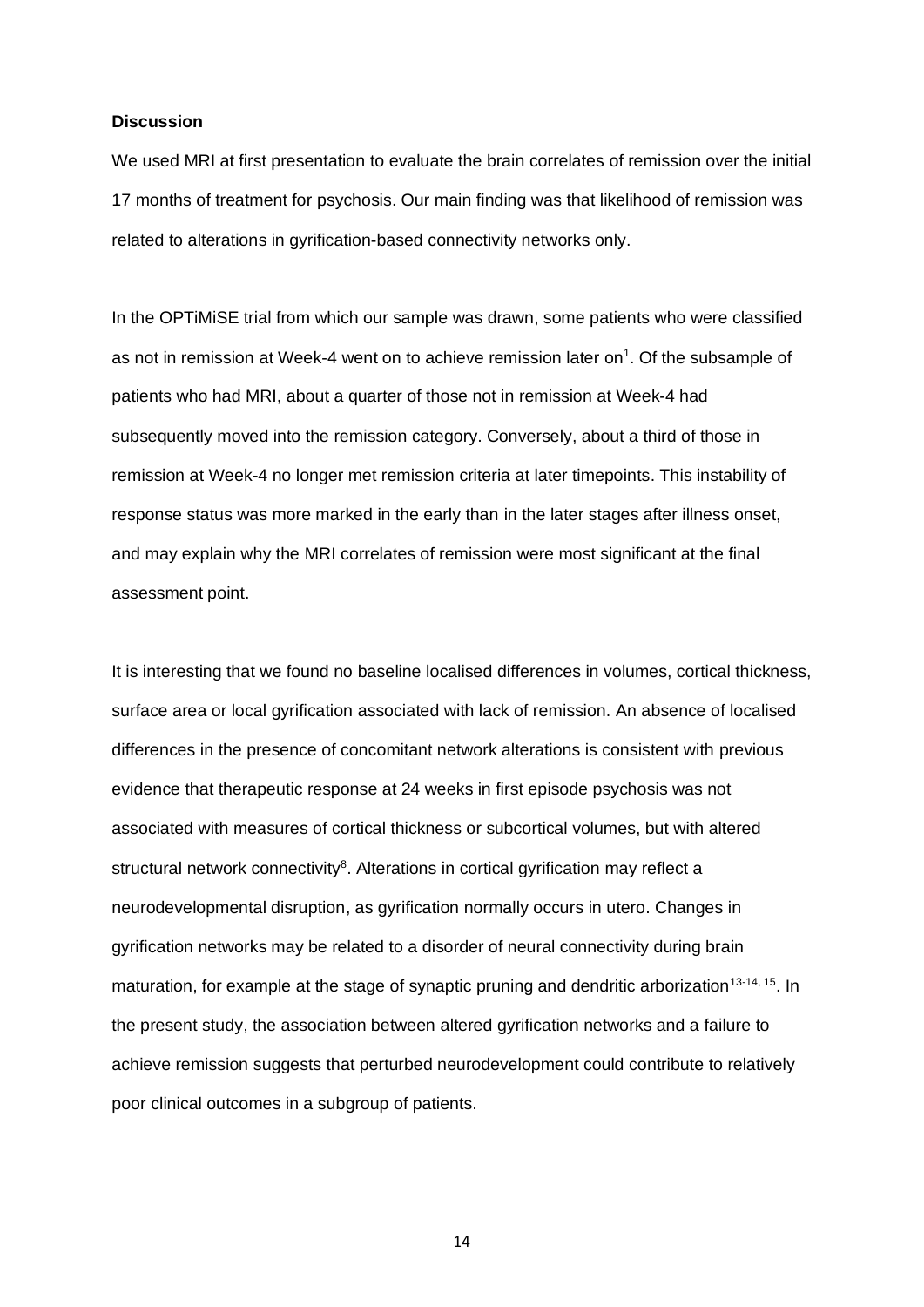## **Discussion**

We used MRI at first presentation to evaluate the brain correlates of remission over the initial 17 months of treatment for psychosis. Our main finding was that likelihood of remission was related to alterations in gyrification-based connectivity networks only.

In the OPTiMiSE trial from which our sample was drawn, some patients who were classified as not in remission at Week-4 went on to achieve remission later on $<sup>1</sup>$ . Of the subsample of</sup> patients who had MRI, about a quarter of those not in remission at Week-4 had subsequently moved into the remission category. Conversely, about a third of those in remission at Week-4 no longer met remission criteria at later timepoints. This instability of response status was more marked in the early than in the later stages after illness onset, and may explain why the MRI correlates of remission were most significant at the final assessment point.

It is interesting that we found no baseline localised differences in volumes, cortical thickness, surface area or local gyrification associated with lack of remission. An absence of localised differences in the presence of concomitant network alterations is consistent with previous evidence that therapeutic response at 24 weeks in first episode psychosis was not associated with measures of cortical thickness or subcortical volumes, but with altered structural network connectivity<sup>8</sup>. Alterations in cortical gyrification may reflect a neurodevelopmental disruption, as gyrification normally occurs in utero. Changes in gyrification networks may be related to a disorder of neural connectivity during brain maturation, for example at the stage of synaptic pruning and dendritic arborization<sup>13-14, 15</sup>. In the present study, the association between altered gyrification networks and a failure to achieve remission suggests that perturbed neurodevelopment could contribute to relatively poor clinical outcomes in a subgroup of patients.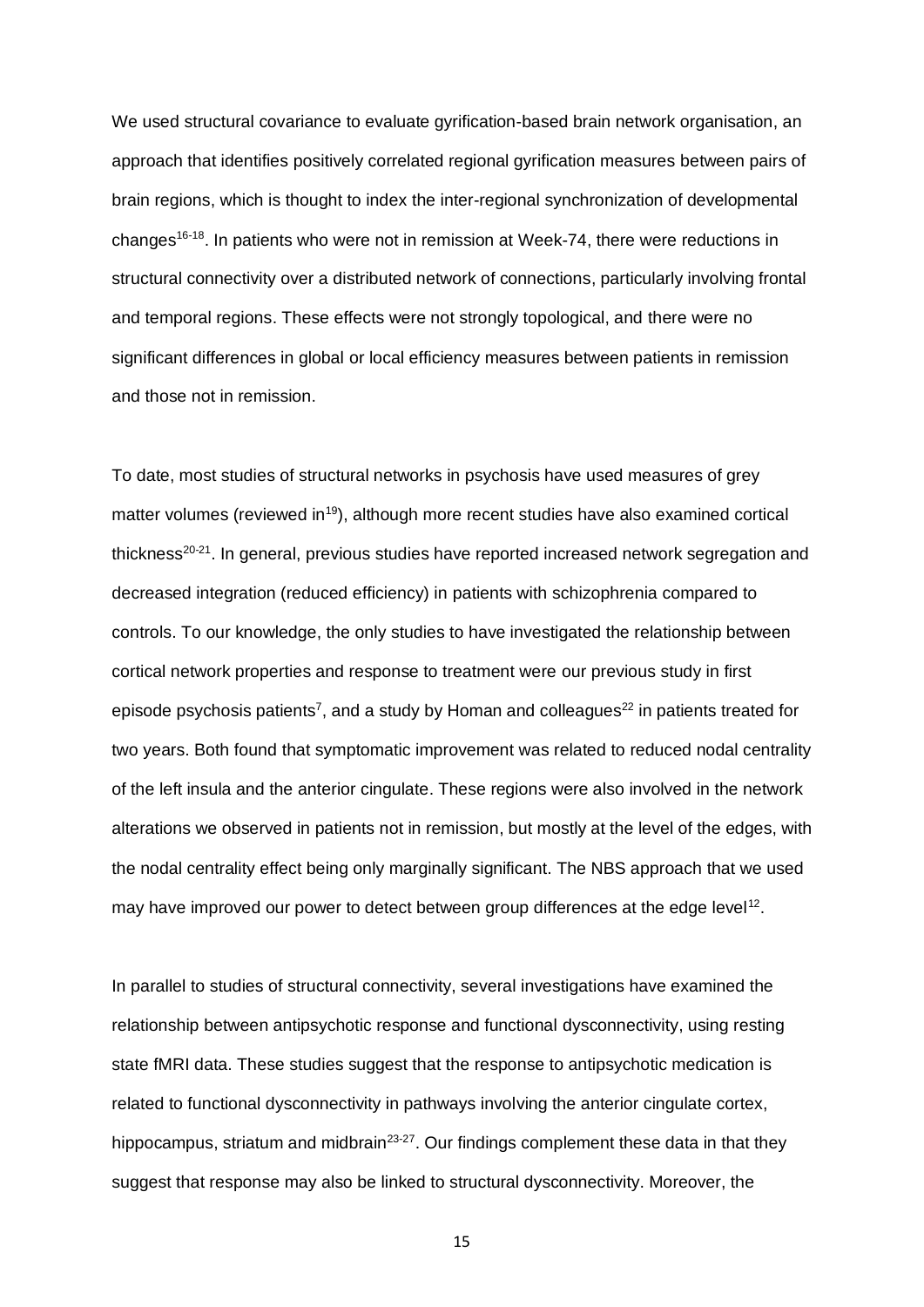We used structural covariance to evaluate gyrification-based brain network organisation, an approach that identifies positively correlated regional gyrification measures between pairs of brain regions, which is thought to index the inter-regional synchronization of developmental changes<sup>16-18</sup>. In patients who were not in remission at Week-74, there were reductions in structural connectivity over a distributed network of connections, particularly involving frontal and temporal regions. These effects were not strongly topological, and there were no significant differences in global or local efficiency measures between patients in remission and those not in remission.

To date, most studies of structural networks in psychosis have used measures of grey matter volumes (reviewed in<sup>19</sup>), although more recent studies have also examined cortical thickness<sup>20-21</sup>. In general, previous studies have reported increased network segregation and decreased integration (reduced efficiency) in patients with schizophrenia compared to controls. To our knowledge, the only studies to have investigated the relationship between cortical network properties and response to treatment were our previous study in first episode psychosis patients<sup>7</sup>, and a study by Homan and colleagues<sup>22</sup> in patients treated for two years. Both found that symptomatic improvement was related to reduced nodal centrality of the left insula and the anterior cingulate. These regions were also involved in the network alterations we observed in patients not in remission, but mostly at the level of the edges, with the nodal centrality effect being only marginally significant. The NBS approach that we used may have improved our power to detect between group differences at the edge level<sup>12</sup>.

In parallel to studies of structural connectivity, several investigations have examined the relationship between antipsychotic response and functional dysconnectivity, using resting state fMRI data. These studies suggest that the response to antipsychotic medication is related to functional dysconnectivity in pathways involving the anterior cingulate cortex, hippocampus, striatum and midbrain<sup>23-27</sup>. Our findings complement these data in that they suggest that response may also be linked to structural dysconnectivity. Moreover, the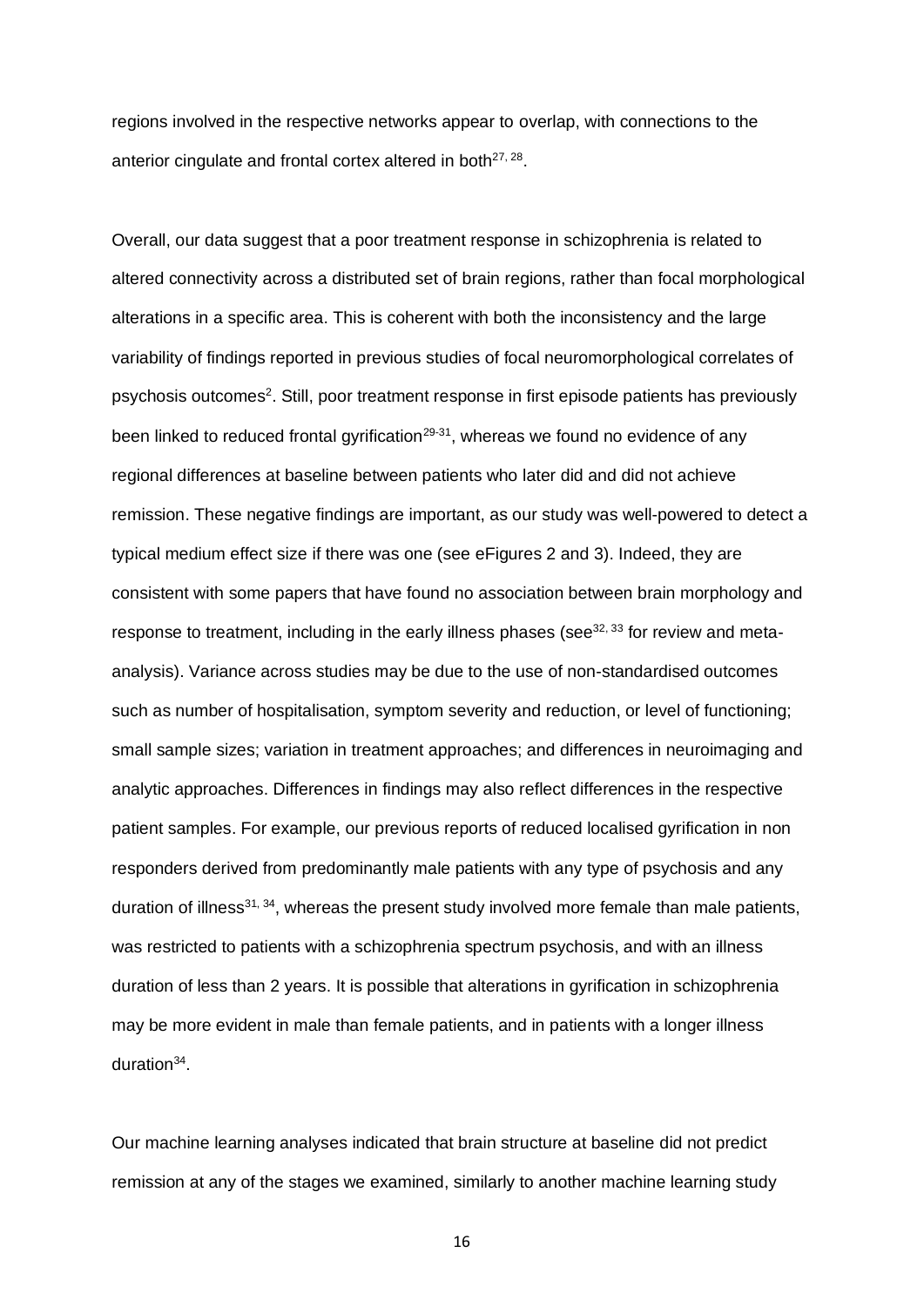regions involved in the respective networks appear to overlap, with connections to the anterior cingulate and frontal cortex altered in both $27, 28$ .

Overall, our data suggest that a poor treatment response in schizophrenia is related to altered connectivity across a distributed set of brain regions, rather than focal morphological alterations in a specific area. This is coherent with both the inconsistency and the large variability of findings reported in previous studies of focal neuromorphological correlates of psychosis outcomes<sup>2</sup>. Still, poor treatment response in first episode patients has previously been linked to reduced frontal gyrification<sup>29-31</sup>, whereas we found no evidence of any regional differences at baseline between patients who later did and did not achieve remission. These negative findings are important, as our study was well-powered to detect a typical medium effect size if there was one (see eFigures 2 and 3). Indeed, they are consistent with some papers that have found no association between brain morphology and response to treatment, including in the early illness phases (see $32, 33$  for review and metaanalysis). Variance across studies may be due to the use of non-standardised outcomes such as number of hospitalisation, symptom severity and reduction, or level of functioning; small sample sizes; variation in treatment approaches; and differences in neuroimaging and analytic approaches. Differences in findings may also reflect differences in the respective patient samples. For example, our previous reports of reduced localised gyrification in non responders derived from predominantly male patients with any type of psychosis and any duration of illness<sup>31, 34</sup>, whereas the present study involved more female than male patients, was restricted to patients with a schizophrenia spectrum psychosis, and with an illness duration of less than 2 years. It is possible that alterations in gyrification in schizophrenia may be more evident in male than female patients, and in patients with a longer illness duration<sup>34</sup>.

Our machine learning analyses indicated that brain structure at baseline did not predict remission at any of the stages we examined, similarly to another machine learning study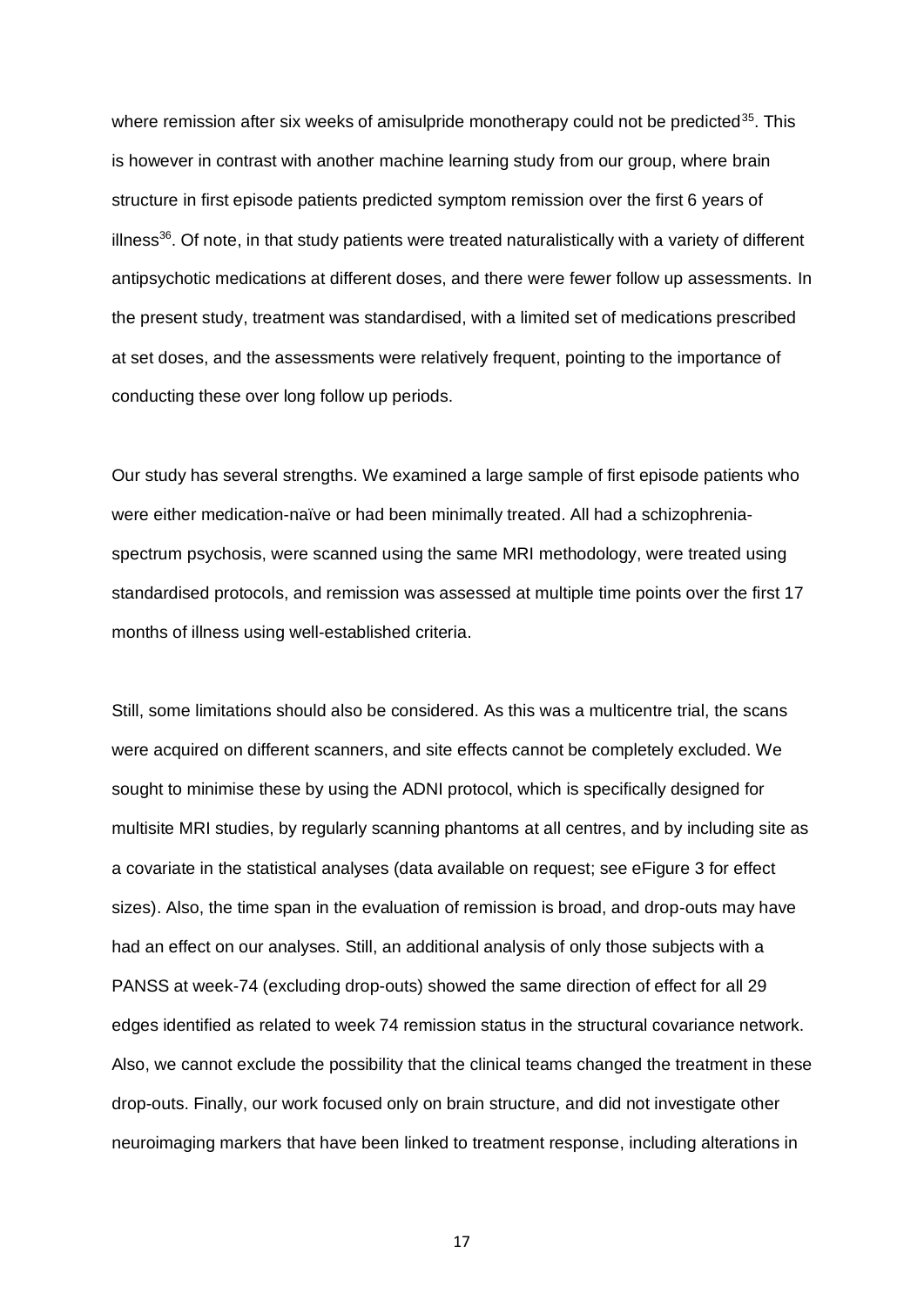where remission after six weeks of amisulpride monotherapy could not be predicted<sup>35</sup>. This is however in contrast with another machine learning study from our group, where brain structure in first episode patients predicted symptom remission over the first 6 years of illness $36$ . Of note, in that study patients were treated naturalistically with a variety of different antipsychotic medications at different doses, and there were fewer follow up assessments. In the present study, treatment was standardised, with a limited set of medications prescribed at set doses, and the assessments were relatively frequent, pointing to the importance of conducting these over long follow up periods.

Our study has several strengths. We examined a large sample of first episode patients who were either medication-naïve or had been minimally treated. All had a schizophreniaspectrum psychosis, were scanned using the same MRI methodology, were treated using standardised protocols, and remission was assessed at multiple time points over the first 17 months of illness using well-established criteria.

Still, some limitations should also be considered. As this was a multicentre trial, the scans were acquired on different scanners, and site effects cannot be completely excluded. We sought to minimise these by using the ADNI protocol, which is specifically designed for multisite MRI studies, by regularly scanning phantoms at all centres, and by including site as a covariate in the statistical analyses (data available on request; see eFigure 3 for effect sizes). Also, the time span in the evaluation of remission is broad, and drop-outs may have had an effect on our analyses. Still, an additional analysis of only those subjects with a PANSS at week-74 (excluding drop-outs) showed the same direction of effect for all 29 edges identified as related to week 74 remission status in the structural covariance network. Also, we cannot exclude the possibility that the clinical teams changed the treatment in these drop-outs. Finally, our work focused only on brain structure, and did not investigate other neuroimaging markers that have been linked to treatment response, including alterations in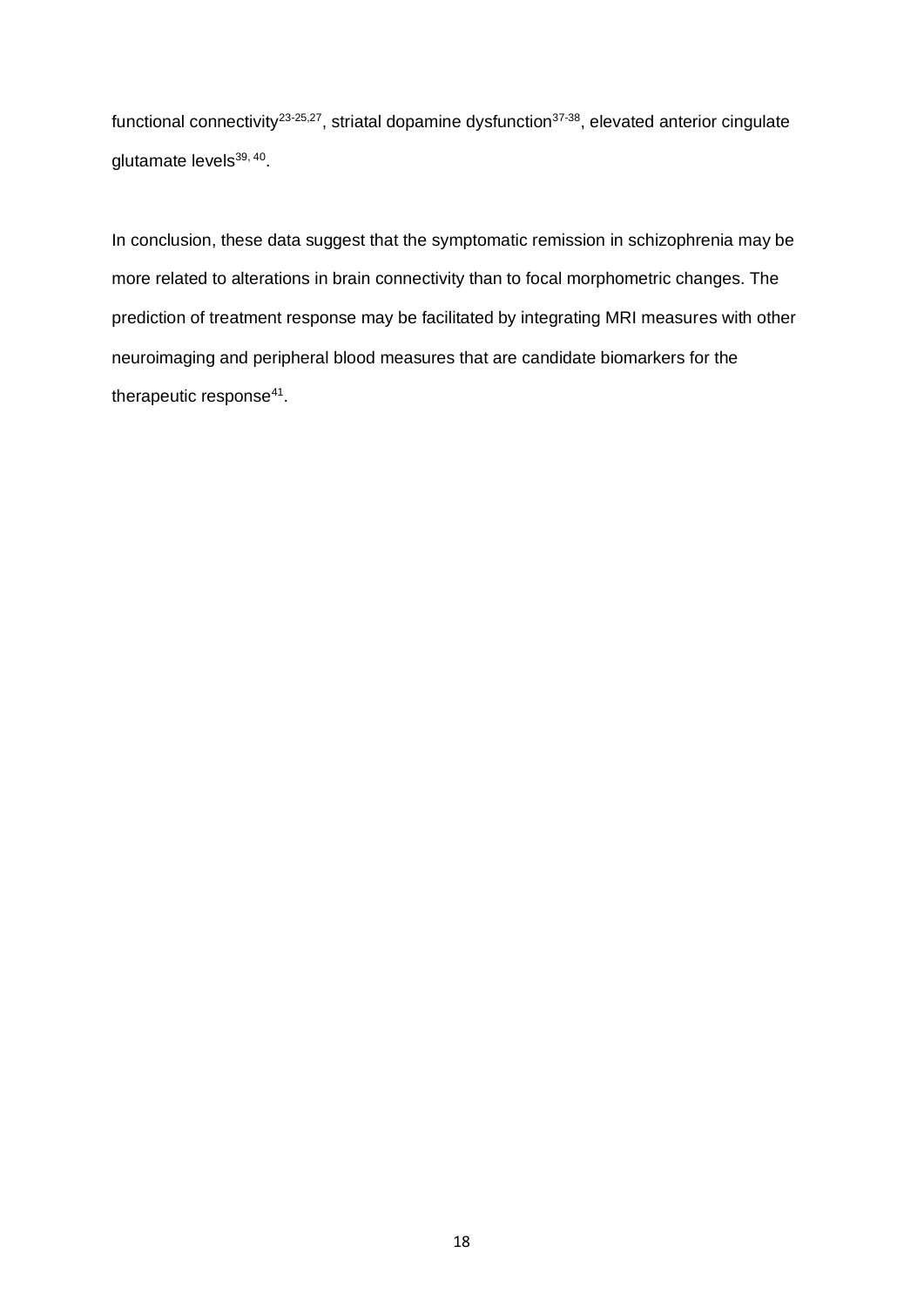functional connectivity<sup>23-25,27</sup>, striatal dopamine dysfunction<sup>37-38</sup>, elevated anterior cingulate glutamate levels<sup>39, 40</sup>.

In conclusion, these data suggest that the symptomatic remission in schizophrenia may be more related to alterations in brain connectivity than to focal morphometric changes. The prediction of treatment response may be facilitated by integrating MRI measures with other neuroimaging and peripheral blood measures that are candidate biomarkers for the therapeutic response<sup>41</sup>.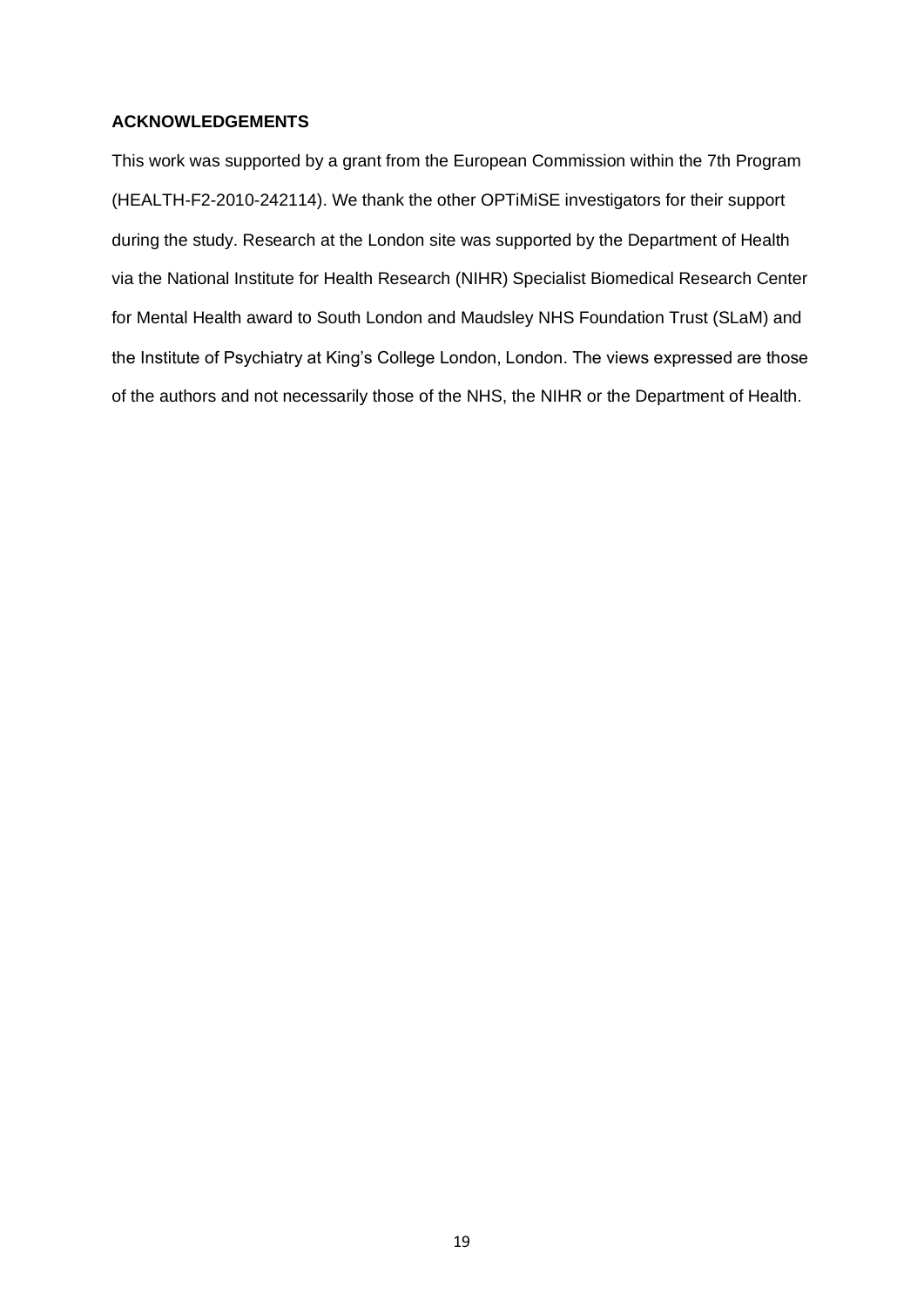# **ACKNOWLEDGEMENTS**

This work was supported by a grant from the European Commission within the 7th Program (HEALTH-F2-2010-242114). We thank the other OPTiMiSE investigators for their support during the study. Research at the London site was supported by the Department of Health via the National Institute for Health Research (NIHR) Specialist Biomedical Research Center for Mental Health award to South London and Maudsley NHS Foundation Trust (SLaM) and the Institute of Psychiatry at King's College London, London. The views expressed are those of the authors and not necessarily those of the NHS, the NIHR or the Department of Health.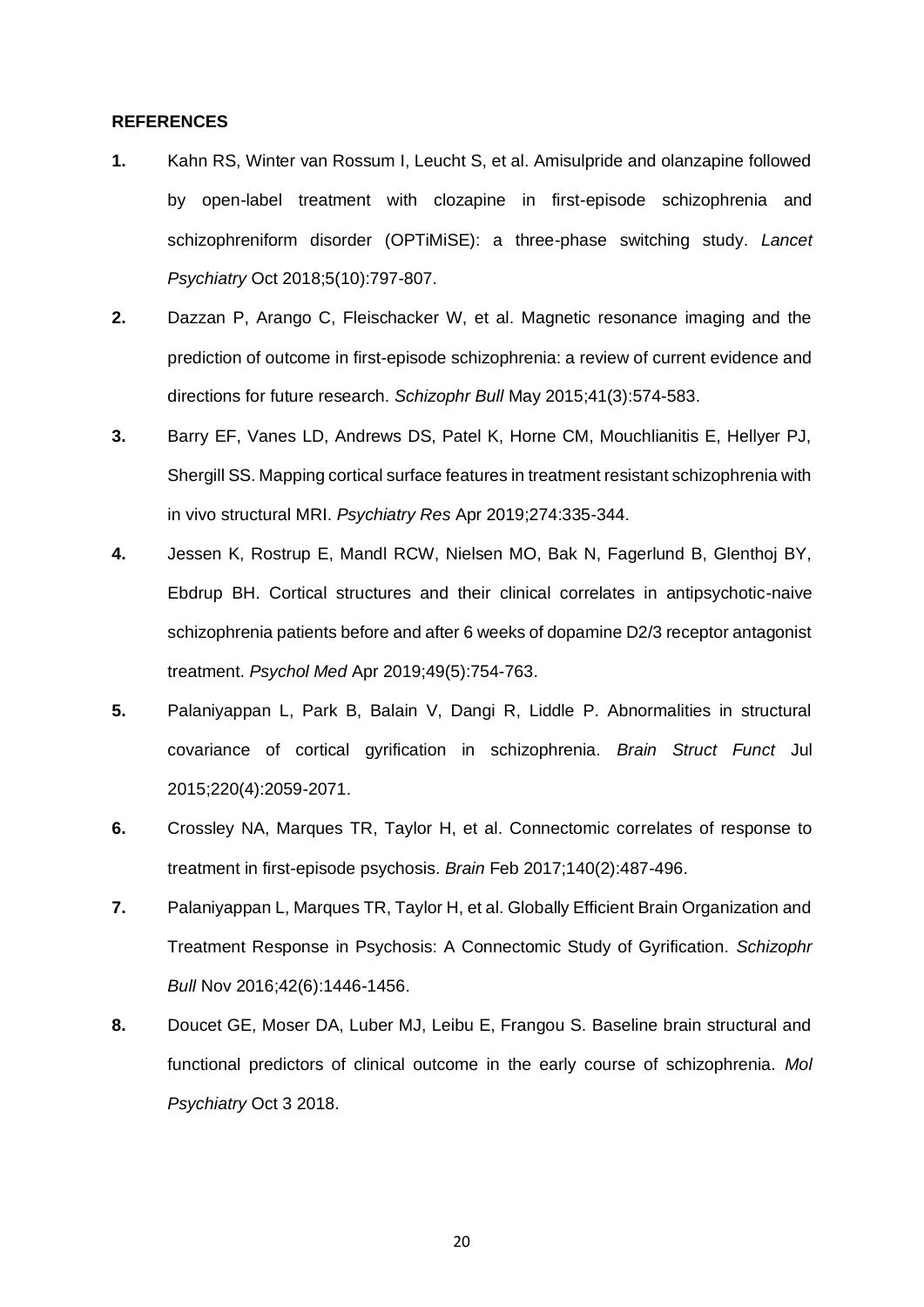# **REFERENCES**

- **1.** Kahn RS, Winter van Rossum I, Leucht S, et al. Amisulpride and olanzapine followed by open-label treatment with clozapine in first-episode schizophrenia and schizophreniform disorder (OPTiMiSE): a three-phase switching study. *Lancet Psychiatry* Oct 2018;5(10):797-807.
- **2.** Dazzan P, Arango C, Fleischacker W, et al. Magnetic resonance imaging and the prediction of outcome in first-episode schizophrenia: a review of current evidence and directions for future research. *Schizophr Bull* May 2015;41(3):574-583.
- **3.** Barry EF, Vanes LD, Andrews DS, Patel K, Horne CM, Mouchlianitis E, Hellyer PJ, Shergill SS. Mapping cortical surface features in treatment resistant schizophrenia with in vivo structural MRI. *Psychiatry Res* Apr 2019;274:335-344.
- **4.** Jessen K, Rostrup E, Mandl RCW, Nielsen MO, Bak N, Fagerlund B, Glenthoj BY, Ebdrup BH. Cortical structures and their clinical correlates in antipsychotic-naive schizophrenia patients before and after 6 weeks of dopamine D2/3 receptor antagonist treatment. *Psychol Med* Apr 2019;49(5):754-763.
- **5.** Palaniyappan L, Park B, Balain V, Dangi R, Liddle P. Abnormalities in structural covariance of cortical gyrification in schizophrenia. *Brain Struct Funct* Jul 2015;220(4):2059-2071.
- **6.** Crossley NA, Marques TR, Taylor H, et al. Connectomic correlates of response to treatment in first-episode psychosis. *Brain* Feb 2017;140(2):487-496.
- **7.** Palaniyappan L, Marques TR, Taylor H, et al. Globally Efficient Brain Organization and Treatment Response in Psychosis: A Connectomic Study of Gyrification. *Schizophr Bull* Nov 2016;42(6):1446-1456.
- **8.** Doucet GE, Moser DA, Luber MJ, Leibu E, Frangou S. Baseline brain structural and functional predictors of clinical outcome in the early course of schizophrenia. *Mol Psychiatry* Oct 3 2018.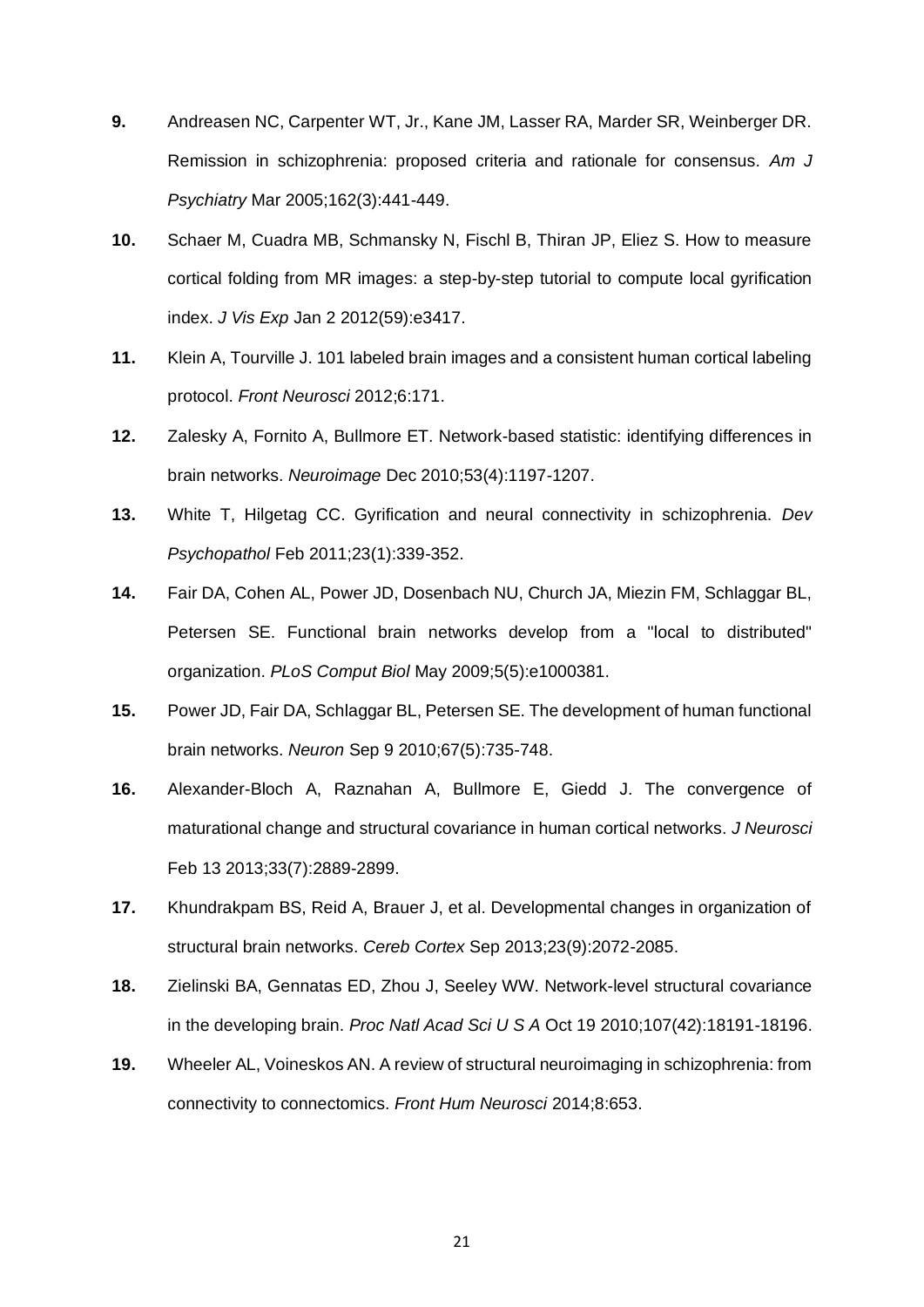- **9.** Andreasen NC, Carpenter WT, Jr., Kane JM, Lasser RA, Marder SR, Weinberger DR. Remission in schizophrenia: proposed criteria and rationale for consensus. *Am J Psychiatry* Mar 2005;162(3):441-449.
- **10.** Schaer M, Cuadra MB, Schmansky N, Fischl B, Thiran JP, Eliez S. How to measure cortical folding from MR images: a step-by-step tutorial to compute local gyrification index. *J Vis Exp* Jan 2 2012(59):e3417.
- **11.** Klein A, Tourville J. 101 labeled brain images and a consistent human cortical labeling protocol. *Front Neurosci* 2012;6:171.
- **12.** Zalesky A, Fornito A, Bullmore ET. Network-based statistic: identifying differences in brain networks. *Neuroimage* Dec 2010;53(4):1197-1207.
- **13.** White T, Hilgetag CC. Gyrification and neural connectivity in schizophrenia. *Dev Psychopathol* Feb 2011;23(1):339-352.
- **14.** Fair DA, Cohen AL, Power JD, Dosenbach NU, Church JA, Miezin FM, Schlaggar BL, Petersen SE. Functional brain networks develop from a "local to distributed" organization. *PLoS Comput Biol* May 2009;5(5):e1000381.
- **15.** Power JD, Fair DA, Schlaggar BL, Petersen SE. The development of human functional brain networks. *Neuron* Sep 9 2010;67(5):735-748.
- **16.** Alexander-Bloch A, Raznahan A, Bullmore E, Giedd J. The convergence of maturational change and structural covariance in human cortical networks. *J Neurosci*  Feb 13 2013;33(7):2889-2899.
- **17.** Khundrakpam BS, Reid A, Brauer J, et al. Developmental changes in organization of structural brain networks. *Cereb Cortex* Sep 2013;23(9):2072-2085.
- **18.** Zielinski BA, Gennatas ED, Zhou J, Seeley WW. Network-level structural covariance in the developing brain. *Proc Natl Acad Sci U S A* Oct 19 2010;107(42):18191-18196.
- **19.** Wheeler AL, Voineskos AN. A review of structural neuroimaging in schizophrenia: from connectivity to connectomics. *Front Hum Neurosci* 2014;8:653.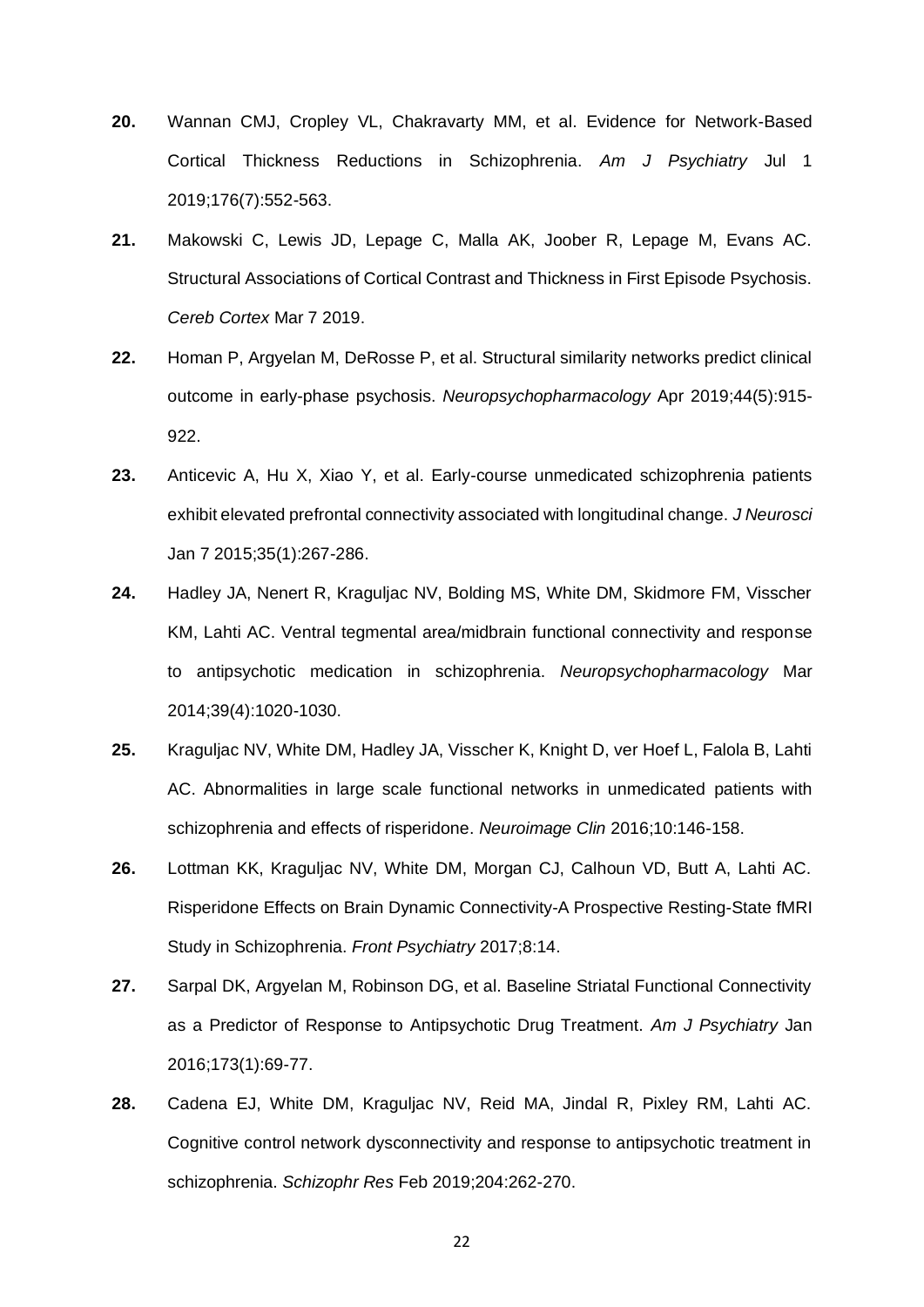- **20.** Wannan CMJ, Cropley VL, Chakravarty MM, et al. Evidence for Network-Based Cortical Thickness Reductions in Schizophrenia. *Am J Psychiatry* Jul 1 2019;176(7):552-563.
- **21.** Makowski C, Lewis JD, Lepage C, Malla AK, Joober R, Lepage M, Evans AC. Structural Associations of Cortical Contrast and Thickness in First Episode Psychosis. *Cereb Cortex* Mar 7 2019.
- **22.** Homan P, Argyelan M, DeRosse P, et al. Structural similarity networks predict clinical outcome in early-phase psychosis. *Neuropsychopharmacology* Apr 2019;44(5):915- 922.
- **23.** Anticevic A, Hu X, Xiao Y, et al. Early-course unmedicated schizophrenia patients exhibit elevated prefrontal connectivity associated with longitudinal change. *J Neurosci*  Jan 7 2015;35(1):267-286.
- **24.** Hadley JA, Nenert R, Kraguljac NV, Bolding MS, White DM, Skidmore FM, Visscher KM, Lahti AC. Ventral tegmental area/midbrain functional connectivity and response to antipsychotic medication in schizophrenia. *Neuropsychopharmacology* Mar 2014;39(4):1020-1030.
- **25.** Kraguljac NV, White DM, Hadley JA, Visscher K, Knight D, ver Hoef L, Falola B, Lahti AC. Abnormalities in large scale functional networks in unmedicated patients with schizophrenia and effects of risperidone. *Neuroimage Clin* 2016;10:146-158.
- **26.** Lottman KK, Kraguljac NV, White DM, Morgan CJ, Calhoun VD, Butt A, Lahti AC. Risperidone Effects on Brain Dynamic Connectivity-A Prospective Resting-State fMRI Study in Schizophrenia. *Front Psychiatry* 2017;8:14.
- **27.** Sarpal DK, Argyelan M, Robinson DG, et al. Baseline Striatal Functional Connectivity as a Predictor of Response to Antipsychotic Drug Treatment. *Am J Psychiatry* Jan 2016;173(1):69-77.
- **28.** Cadena EJ, White DM, Kraguljac NV, Reid MA, Jindal R, Pixley RM, Lahti AC. Cognitive control network dysconnectivity and response to antipsychotic treatment in schizophrenia. *Schizophr Res* Feb 2019;204:262-270.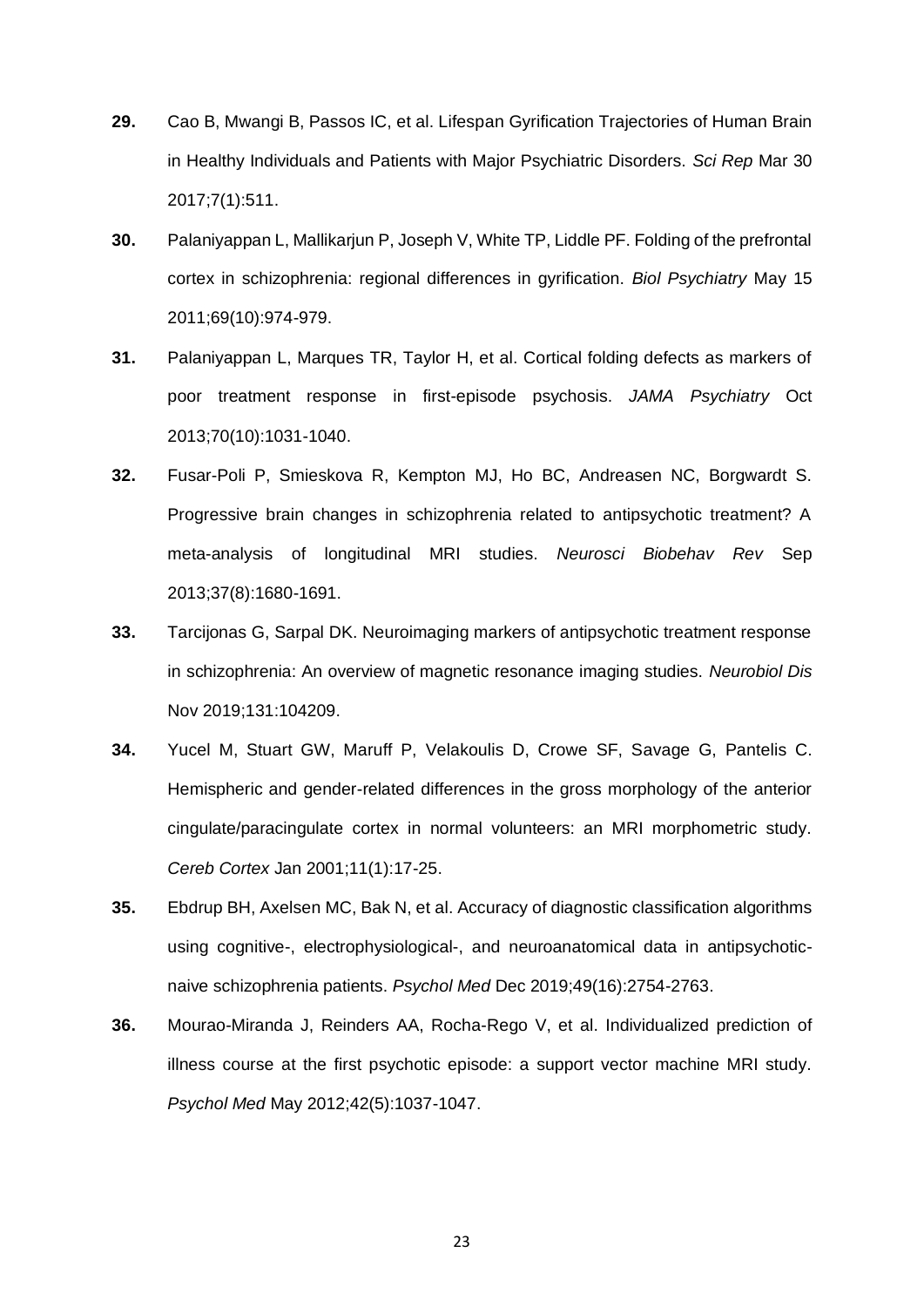- **29.** Cao B, Mwangi B, Passos IC, et al. Lifespan Gyrification Trajectories of Human Brain in Healthy Individuals and Patients with Major Psychiatric Disorders. *Sci Rep* Mar 30 2017;7(1):511.
- **30.** Palaniyappan L, Mallikarjun P, Joseph V, White TP, Liddle PF. Folding of the prefrontal cortex in schizophrenia: regional differences in gyrification. *Biol Psychiatry* May 15 2011;69(10):974-979.
- **31.** Palaniyappan L, Marques TR, Taylor H, et al. Cortical folding defects as markers of poor treatment response in first-episode psychosis. *JAMA Psychiatry* Oct 2013;70(10):1031-1040.
- **32.** Fusar-Poli P, Smieskova R, Kempton MJ, Ho BC, Andreasen NC, Borgwardt S. Progressive brain changes in schizophrenia related to antipsychotic treatment? A meta-analysis of longitudinal MRI studies. *Neurosci Biobehav Rev* Sep 2013;37(8):1680-1691.
- **33.** Tarcijonas G, Sarpal DK. Neuroimaging markers of antipsychotic treatment response in schizophrenia: An overview of magnetic resonance imaging studies. *Neurobiol Dis*  Nov 2019;131:104209.
- **34.** Yucel M, Stuart GW, Maruff P, Velakoulis D, Crowe SF, Savage G, Pantelis C. Hemispheric and gender-related differences in the gross morphology of the anterior cingulate/paracingulate cortex in normal volunteers: an MRI morphometric study. *Cereb Cortex* Jan 2001;11(1):17-25.
- **35.** Ebdrup BH, Axelsen MC, Bak N, et al. Accuracy of diagnostic classification algorithms using cognitive-, electrophysiological-, and neuroanatomical data in antipsychoticnaive schizophrenia patients. *Psychol Med* Dec 2019;49(16):2754-2763.
- **36.** Mourao-Miranda J, Reinders AA, Rocha-Rego V, et al. Individualized prediction of illness course at the first psychotic episode: a support vector machine MRI study. *Psychol Med* May 2012;42(5):1037-1047.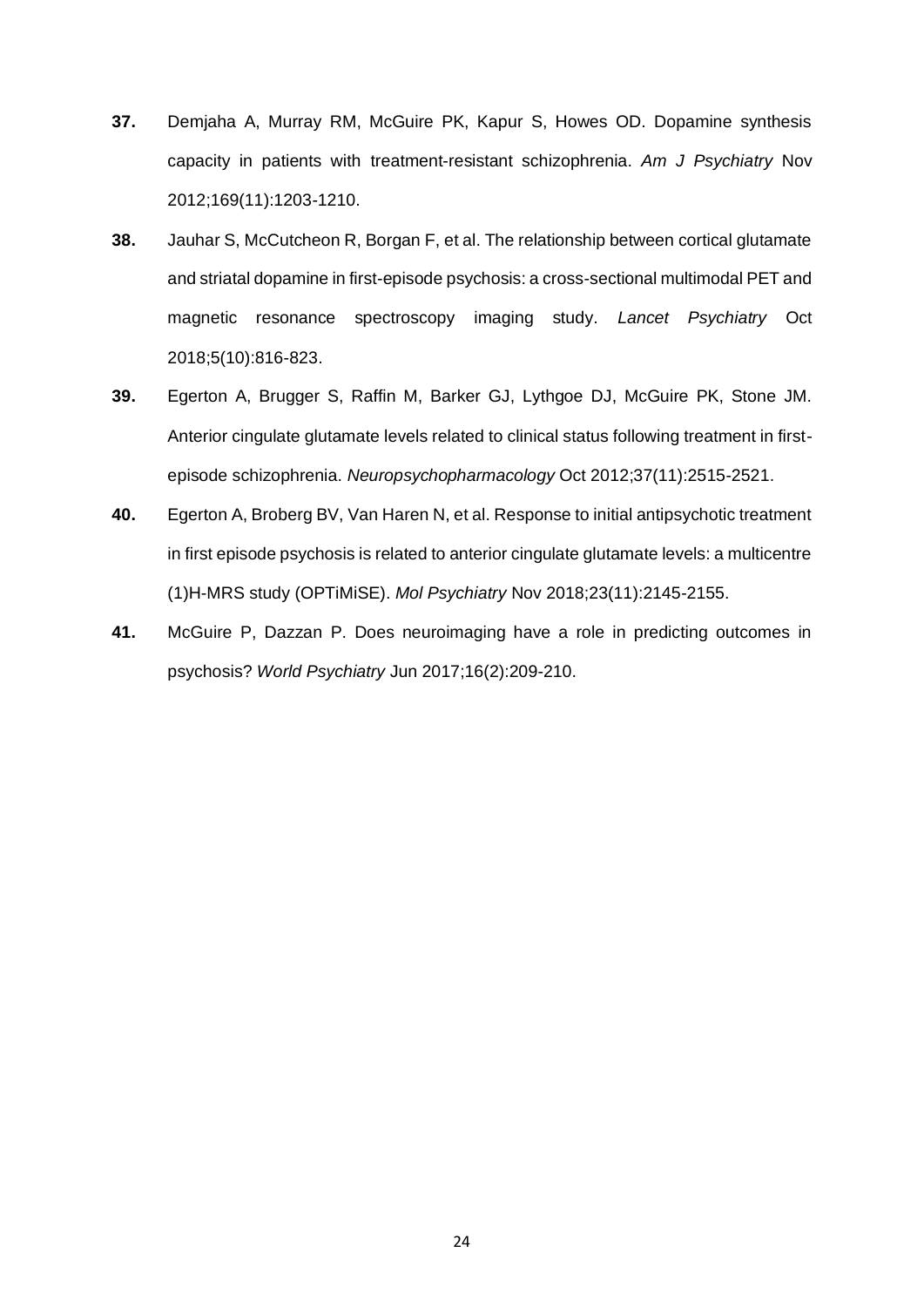- **37.** Demjaha A, Murray RM, McGuire PK, Kapur S, Howes OD. Dopamine synthesis capacity in patients with treatment-resistant schizophrenia. *Am J Psychiatry* Nov 2012;169(11):1203-1210.
- **38.** Jauhar S, McCutcheon R, Borgan F, et al. The relationship between cortical glutamate and striatal dopamine in first-episode psychosis: a cross-sectional multimodal PET and magnetic resonance spectroscopy imaging study. *Lancet Psychiatry* Oct 2018;5(10):816-823.
- **39.** Egerton A, Brugger S, Raffin M, Barker GJ, Lythgoe DJ, McGuire PK, Stone JM. Anterior cingulate glutamate levels related to clinical status following treatment in firstepisode schizophrenia. *Neuropsychopharmacology* Oct 2012;37(11):2515-2521.
- **40.** Egerton A, Broberg BV, Van Haren N, et al. Response to initial antipsychotic treatment in first episode psychosis is related to anterior cingulate glutamate levels: a multicentre (1)H-MRS study (OPTiMiSE). *Mol Psychiatry* Nov 2018;23(11):2145-2155.
- **41.** McGuire P, Dazzan P. Does neuroimaging have a role in predicting outcomes in psychosis? *World Psychiatry* Jun 2017;16(2):209-210.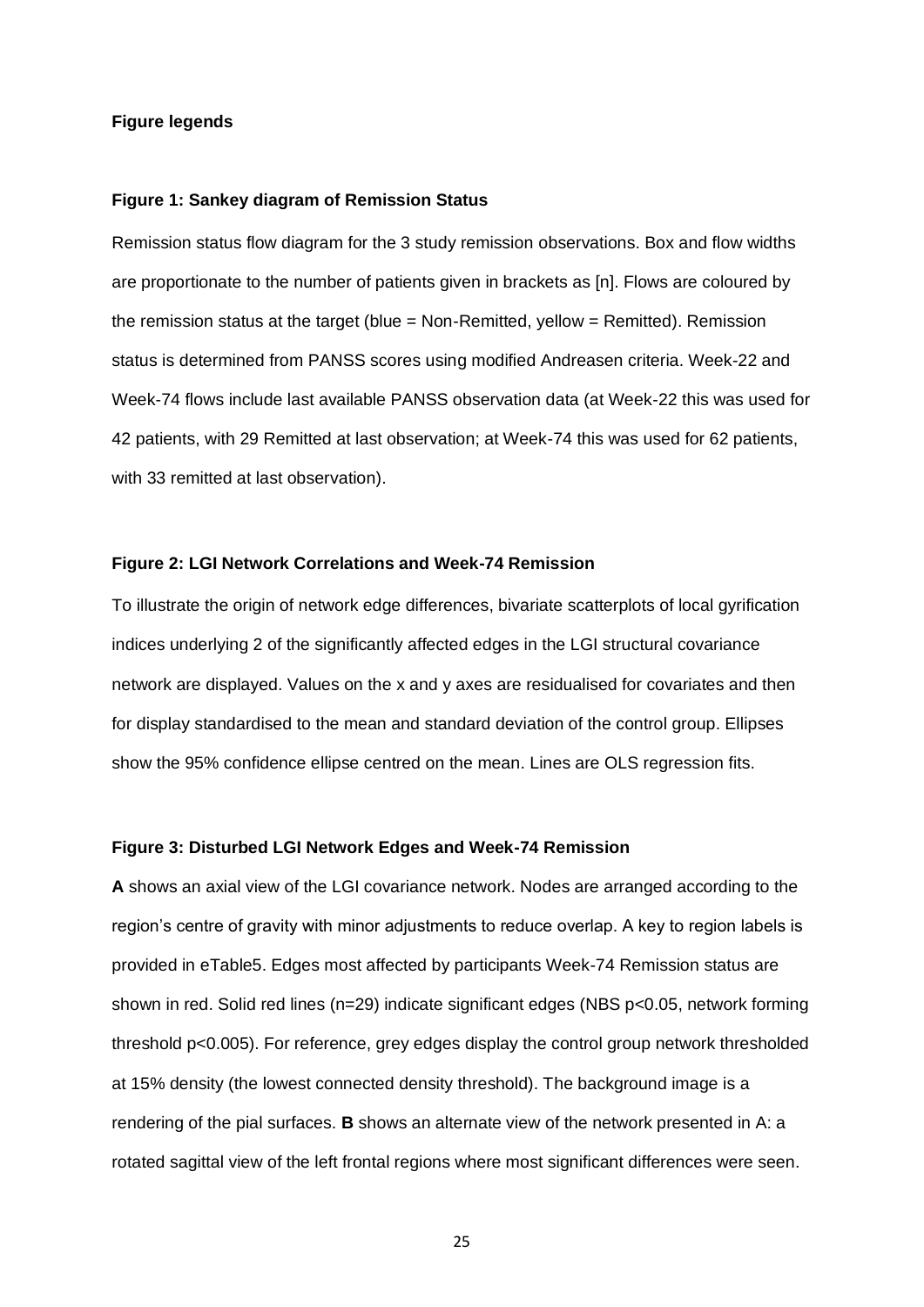#### **Figure legends**

#### **Figure 1: Sankey diagram of Remission Status**

Remission status flow diagram for the 3 study remission observations. Box and flow widths are proportionate to the number of patients given in brackets as [n]. Flows are coloured by the remission status at the target (blue = Non-Remitted, yellow = Remitted). Remission status is determined from PANSS scores using modified Andreasen criteria. Week-22 and Week-74 flows include last available PANSS observation data (at Week-22 this was used for 42 patients, with 29 Remitted at last observation; at Week-74 this was used for 62 patients, with 33 remitted at last observation).

# **Figure 2: LGI Network Correlations and Week-74 Remission**

To illustrate the origin of network edge differences, bivariate scatterplots of local gyrification indices underlying 2 of the significantly affected edges in the LGI structural covariance network are displayed. Values on the x and y axes are residualised for covariates and then for display standardised to the mean and standard deviation of the control group. Ellipses show the 95% confidence ellipse centred on the mean. Lines are OLS regression fits.

# **Figure 3: Disturbed LGI Network Edges and Week-74 Remission**

**A** shows an axial view of the LGI covariance network. Nodes are arranged according to the region's centre of gravity with minor adjustments to reduce overlap. A key to region labels is provided in eTable5. Edges most affected by participants Week-74 Remission status are shown in red. Solid red lines (n=29) indicate significant edges (NBS p<0.05, network forming threshold p<0.005). For reference, grey edges display the control group network thresholded at 15% density (the lowest connected density threshold). The background image is a rendering of the pial surfaces. **B** shows an alternate view of the network presented in A: a rotated sagittal view of the left frontal regions where most significant differences were seen.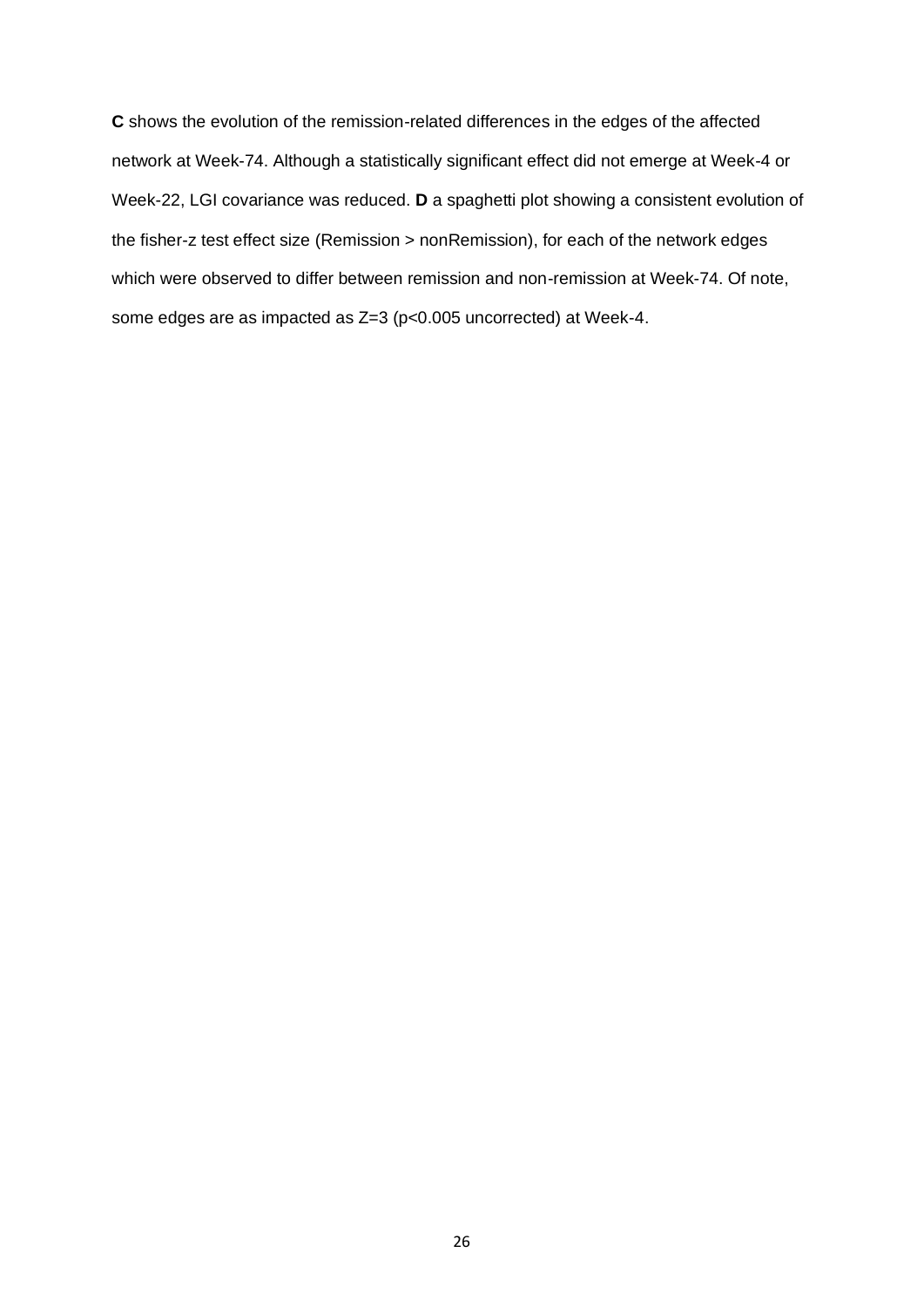**C** shows the evolution of the remission-related differences in the edges of the affected network at Week-74. Although a statistically significant effect did not emerge at Week-4 or Week-22, LGI covariance was reduced. **D** a spaghetti plot showing a consistent evolution of the fisher-z test effect size (Remission > nonRemission), for each of the network edges which were observed to differ between remission and non-remission at Week-74. Of note, some edges are as impacted as Z=3 (p<0.005 uncorrected) at Week-4.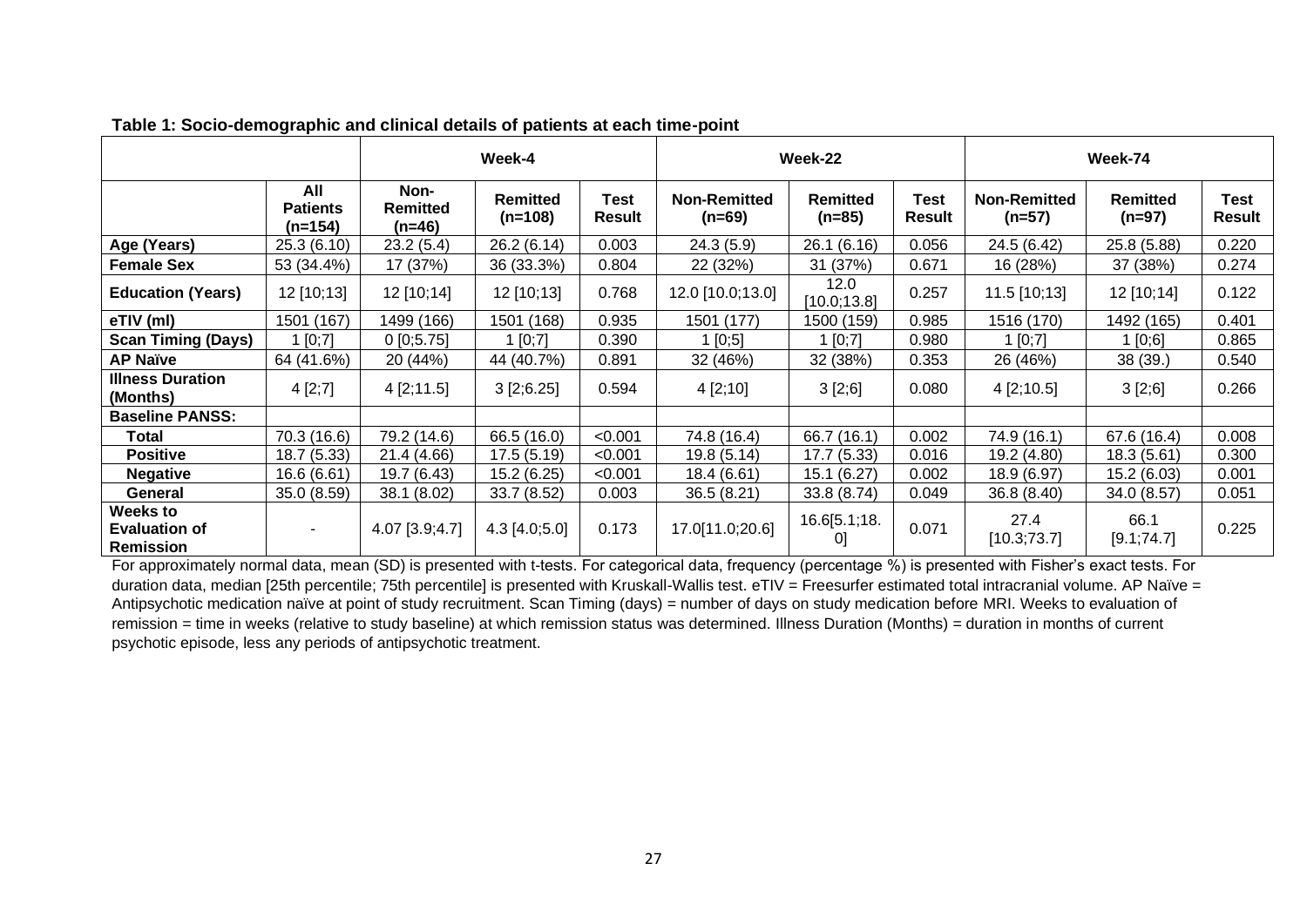|                                                      |                                     | Week-4                            |                              |                       | Week-22                         |                             |                | Week-74                         |                             |                |
|------------------------------------------------------|-------------------------------------|-----------------------------------|------------------------------|-----------------------|---------------------------------|-----------------------------|----------------|---------------------------------|-----------------------------|----------------|
|                                                      | All<br><b>Patients</b><br>$(n=154)$ | Non-<br><b>Remitted</b><br>(n=46) | <b>Remitted</b><br>$(n=108)$ | Test<br><b>Result</b> | <b>Non-Remitted</b><br>$(n=69)$ | <b>Remitted</b><br>$(n=85)$ | Test<br>Result | <b>Non-Remitted</b><br>$(n=57)$ | <b>Remitted</b><br>$(n=97)$ | Test<br>Result |
| Age (Years)                                          | 25.3(6.10)                          | 23.2(5.4)                         | 26.2 (6.14)                  | 0.003                 | 24.3(5.9)                       | 26.1 (6.16)                 | 0.056          | 24.5 (6.42)                     | 25.8 (5.88)                 | 0.220          |
| <b>Female Sex</b>                                    | 53 (34.4%)                          | 17 (37%)                          | 36 (33.3%)                   | 0.804                 | 22 (32%)                        | 31 (37%)                    | 0.671          | 16 (28%)                        | 37 (38%)                    | 0.274          |
| <b>Education (Years)</b>                             | 12 [10;13]                          | 12 [10;14]                        | 12 [10;13]                   | 0.768                 | 12.0 [10.0;13.0]                | 12.0<br>[10.0; 13.8]        | 0.257          | 11.5 [10;13]                    | 12 [10;14]                  | 0.122          |
| eTIV (ml)                                            | 1501 (167)                          | 1499 (166)                        | 1501 (168)                   | 0.935                 | 1501 (177)                      | 1500 (159)                  | 0.985          | 1516 (170)                      | 1492 (165)                  | 0.401          |
| <b>Scan Timing (Days)</b>                            | [0,7]                               | 0[0;5.75]                         | 1 [0,7]                      | 0.390                 | 1[0;5]                          | 1 [0;7]                     | 0.980          | 1 [0;7]                         | 1 [0;6]                     | 0.865          |
| <b>AP Naïve</b>                                      | 64 (41.6%)                          | 20 (44%)                          | 44 (40.7%)                   | 0.891                 | 32 (46%)                        | 32 (38%)                    | 0.353          | 26 (46%)                        | 38 (39.)                    | 0.540          |
| <b>Illness Duration</b><br>(Months)                  | 4 [2;7]                             | 4 [2; 11.5]                       | 3 [2; 6.25]                  | 0.594                 | 4 [2;10]                        | 3 [2;6]                     | 0.080          | 4 [2; 10.5]                     | 3 [2;6]                     | 0.266          |
| <b>Baseline PANSS:</b>                               |                                     |                                   |                              |                       |                                 |                             |                |                                 |                             |                |
| Total                                                | 70.3 (16.6)                         | 79.2 (14.6)                       | 66.5 (16.0)                  | < 0.001               | 74.8 (16.4)                     | 66.7 (16.1)                 | 0.002          | 74.9 (16.1)                     | 67.6 (16.4)                 | 0.008          |
| <b>Positive</b>                                      | 18.7(5.33)                          | 21.4 (4.66)                       | 17.5(5.19)                   | < 0.001               | 19.8 (5.14)                     | 17.7(5.33)                  | 0.016          | 19.2 (4.80)                     | 18.3 (5.61)                 | 0.300          |
| <b>Negative</b>                                      | 16.6(6.61)                          | 19.7 (6.43)                       | 15.2 (6.25)                  | < 0.001               | 18.4 (6.61)                     | 15.1(6.27)                  | 0.002          | 18.9 (6.97)                     | 15.2 (6.03)                 | 0.001          |
| General                                              | 35.0 (8.59)                         | 38.1 (8.02)                       | 33.7(8.52)                   | 0.003                 | 36.5 (8.21)                     | 33.8 (8.74)                 | 0.049          | 36.8 (8.40)                     | 34.0 (8.57)                 | 0.051          |
| <b>Weeks to</b><br><b>Evaluation of</b><br>Remission | $\sim$                              | 4.07 [3.9;4.7]                    | $4.3$ [4.0;5.0]              | 0.173                 | 17.0[11.0;20.6]                 | 16.6[5.1;18.<br>0]          | 0.071          | 27.4<br>[10.3;73.7]             | 66.1<br>[9.1;74.7]          | 0.225          |

**Table 1: Socio-demographic and clinical details of patients at each time-point**

For approximately normal data, mean (SD) is presented with t-tests. For categorical data, frequency (percentage %) is presented with Fisher's exact tests. For duration data, median [25th percentile; 75th percentile] is presented with Kruskall-Wallis test. eTIV = Freesurfer estimated total intracranial volume. AP Naïve = Antipsychotic medication naïve at point of study recruitment. Scan Timing (days) = number of days on study medication before MRI. Weeks to evaluation of remission = time in weeks (relative to study baseline) at which remission status was determined. Illness Duration (Months) = duration in months of current psychotic episode, less any periods of antipsychotic treatment.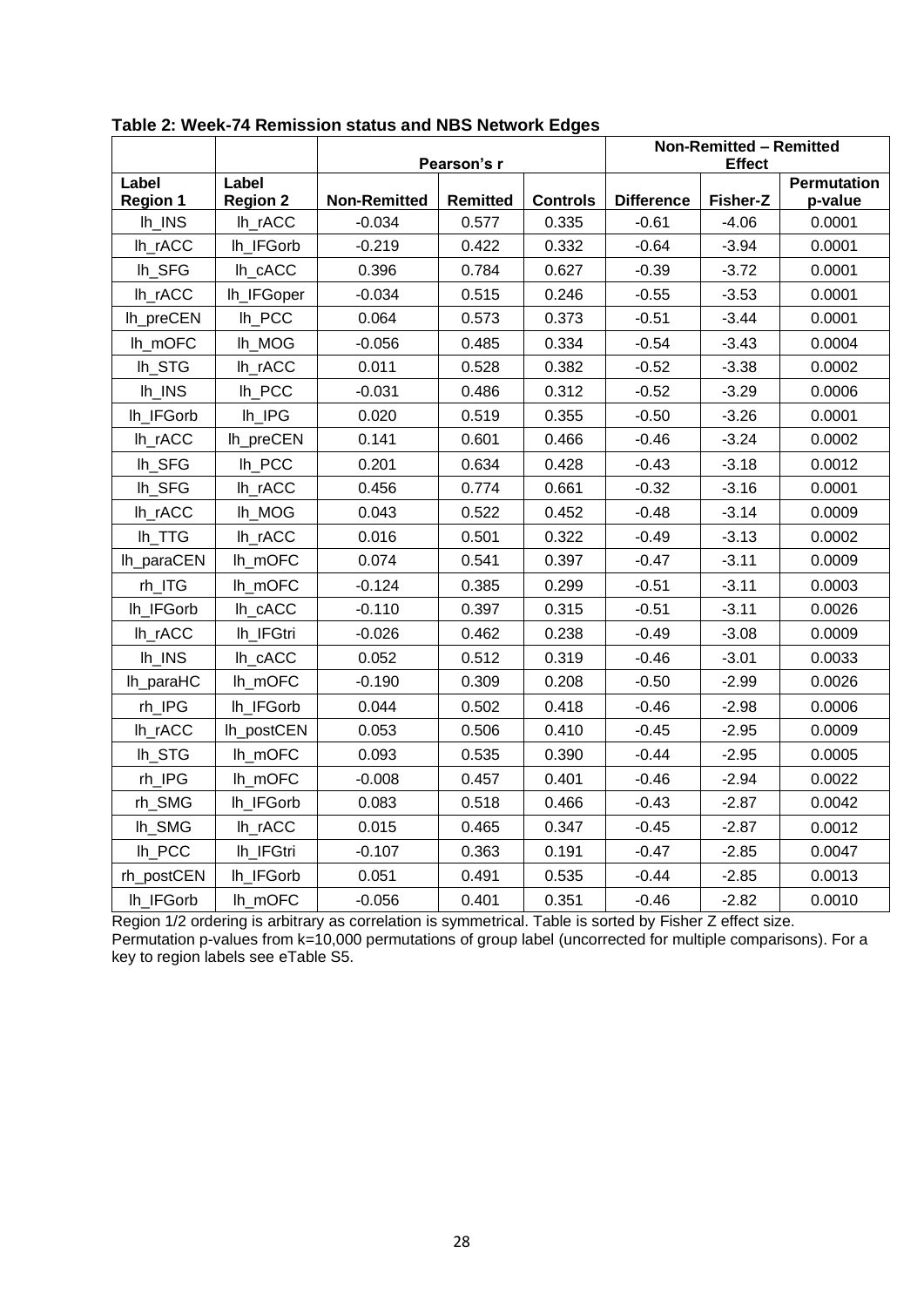|                      |                 | Pearson's r         |                 |                 | Non-Remitted - Remitted<br><b>Effect</b> |          |                    |  |
|----------------------|-----------------|---------------------|-----------------|-----------------|------------------------------------------|----------|--------------------|--|
| Label                | Label           |                     |                 |                 |                                          |          | <b>Permutation</b> |  |
| <b>Region 1</b>      | <b>Region 2</b> | <b>Non-Remitted</b> | <b>Remitted</b> | <b>Controls</b> | <b>Difference</b>                        | Fisher-Z | p-value            |  |
| $lh_$ INS            | lh_rACC         | $-0.034$            | 0.577           | 0.335           | $-0.61$                                  | $-4.06$  | 0.0001             |  |
| lh_rACC              | lh_IFGorb       | $-0.219$            | 0.422           | 0.332           | $-0.64$                                  | $-3.94$  | 0.0001             |  |
| lh_SFG               | lh_cACC         | 0.396               | 0.784           | 0.627           | $-0.39$                                  | $-3.72$  | 0.0001             |  |
| lh_rACC              | lh_IFGoper      | $-0.034$            | 0.515           | 0.246           | $-0.55$                                  | $-3.53$  | 0.0001             |  |
| Ih_preCEN            | $lh$ PCC        | 0.064               | 0.573           | 0.373           | $-0.51$                                  | $-3.44$  | 0.0001             |  |
| lh_mOFC              | lh_MOG          | $-0.056$            | 0.485           | 0.334           | $-0.54$                                  | $-3.43$  | 0.0004             |  |
| lh_STG               | lh_rACC         | 0.011               | 0.528           | 0.382           | $-0.52$                                  | $-3.38$  | 0.0002             |  |
| Ih_INS               | lh_PCC          | $-0.031$            | 0.486           | 0.312           | $-0.52$                                  | $-3.29$  | 0.0006             |  |
| lh_IFGorb            | Ih_IPG          | 0.020               | 0.519           | 0.355           | $-0.50$                                  | $-3.26$  | 0.0001             |  |
| Ih_rACC              | lh_preCEN       | 0.141               | 0.601           | 0.466           | $-0.46$                                  | $-3.24$  | 0.0002             |  |
| lh_SFG               | lh_PCC          | 0.201               | 0.634           | 0.428           | $-0.43$                                  | $-3.18$  | 0.0012             |  |
| Ih_SFG               | lh_rACC         | 0.456               | 0.774           | 0.661           | $-0.32$                                  | $-3.16$  | 0.0001             |  |
| Ih_rACC              | Ih_MOG          | 0.043               | 0.522           | 0.452           | $-0.48$                                  | $-3.14$  | 0.0009             |  |
| lh_TTG               | lh_rACC         | 0.016               | 0.501           | 0.322           | $-0.49$                                  | $-3.13$  | 0.0002             |  |
| lh_paraCEN           | lh_mOFC         | 0.074               | 0.541           | 0.397           | $-0.47$                                  | $-3.11$  | 0.0009             |  |
| rh_ITG               | lh_mOFC         | $-0.124$            | 0.385           | 0.299           | $-0.51$                                  | $-3.11$  | 0.0003             |  |
| lh_IFGorb            | lh_cACC         | $-0.110$            | 0.397           | 0.315           | $-0.51$                                  | $-3.11$  | 0.0026             |  |
| $lh_TACC$            | lh_IFGtri       | $-0.026$            | 0.462           | 0.238           | $-0.49$                                  | $-3.08$  | 0.0009             |  |
| Ih INS               | lh_cACC         | 0.052               | 0.512           | 0.319           | $-0.46$                                  | $-3.01$  | 0.0033             |  |
| lh_paraHC            | lh_mOFC         | $-0.190$            | 0.309           | 0.208           | $-0.50$                                  | $-2.99$  | 0.0026             |  |
| $rh$ <sub>_IPG</sub> | lh_IFGorb       | 0.044               | 0.502           | 0.418           | $-0.46$                                  | $-2.98$  | 0.0006             |  |
| Ih_rACC              | lh_postCEN      | 0.053               | 0.506           | 0.410           | $-0.45$                                  | $-2.95$  | 0.0009             |  |
| lh_STG               | lh_mOFC         | 0.093               | 0.535           | 0.390           | $-0.44$                                  | $-2.95$  | 0.0005             |  |
| rh_IPG               | lh_mOFC         | $-0.008$            | 0.457           | 0.401           | $-0.46$                                  | $-2.94$  | 0.0022             |  |
| rh_SMG               | lh_IFGorb       | 0.083               | 0.518           | 0.466           | $-0.43$                                  | $-2.87$  | 0.0042             |  |
| Ih_SMG               | lh_rACC         | 0.015               | 0.465           | 0.347           | $-0.45$                                  | $-2.87$  | 0.0012             |  |
| lh_PCC               | lh_IFGtri       | $-0.107$            | 0.363           | 0.191           | $-0.47$                                  | $-2.85$  | 0.0047             |  |
| rh_postCEN           | lh_IFGorb       | 0.051               | 0.491           | 0.535           | $-0.44$                                  | $-2.85$  | 0.0013             |  |
| Ih IFGorb            | Ih mOFC         | $-0.056$            | 0.401           | 0.351           | $-0.46$                                  | $-2.82$  | 0.0010             |  |

**Table 2: Week-74 Remission status and NBS Network Edges**

Region 1/2 ordering is arbitrary as correlation is symmetrical. Table is sorted by Fisher Z effect size. Permutation p-values from k=10,000 permutations of group label (uncorrected for multiple comparisons). For a key to region labels see eTable S5.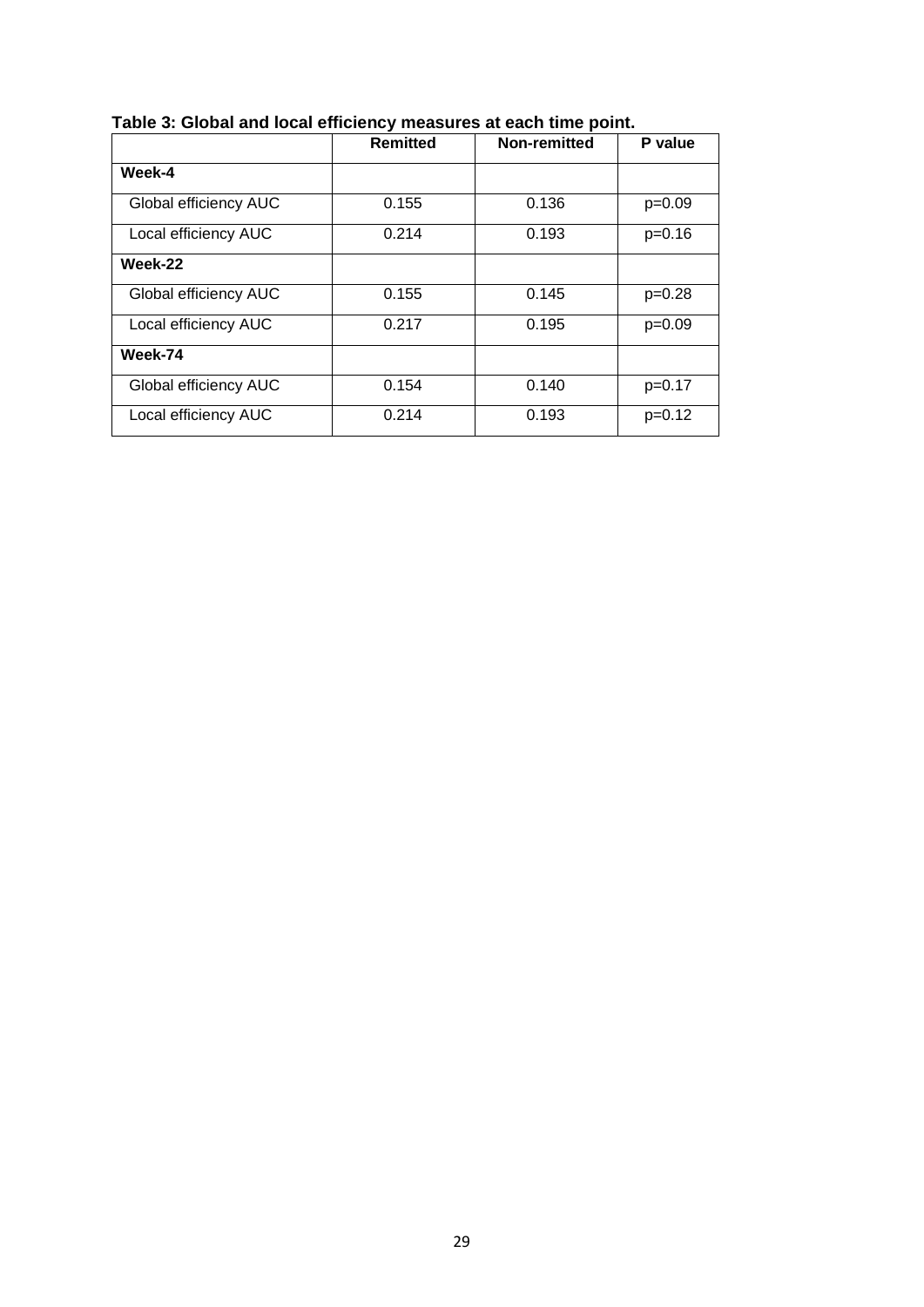|                       | <b>Remitted</b> | Non-remitted | P value  |
|-----------------------|-----------------|--------------|----------|
| Week-4                |                 |              |          |
| Global efficiency AUC | 0.155           | 0.136        | $p=0.09$ |
| Local efficiency AUC  | 0.214           | 0.193        | $p=0.16$ |
| Week-22               |                 |              |          |
| Global efficiency AUC | 0.155           | 0.145        | $p=0.28$ |
| Local efficiency AUC  | 0.217           | 0.195        | $p=0.09$ |
| Week-74               |                 |              |          |
| Global efficiency AUC | 0.154           | 0.140        | $p=0.17$ |
| Local efficiency AUC  | 0.214           | 0.193        | $p=0.12$ |

**Table 3: Global and local efficiency measures at each time point.**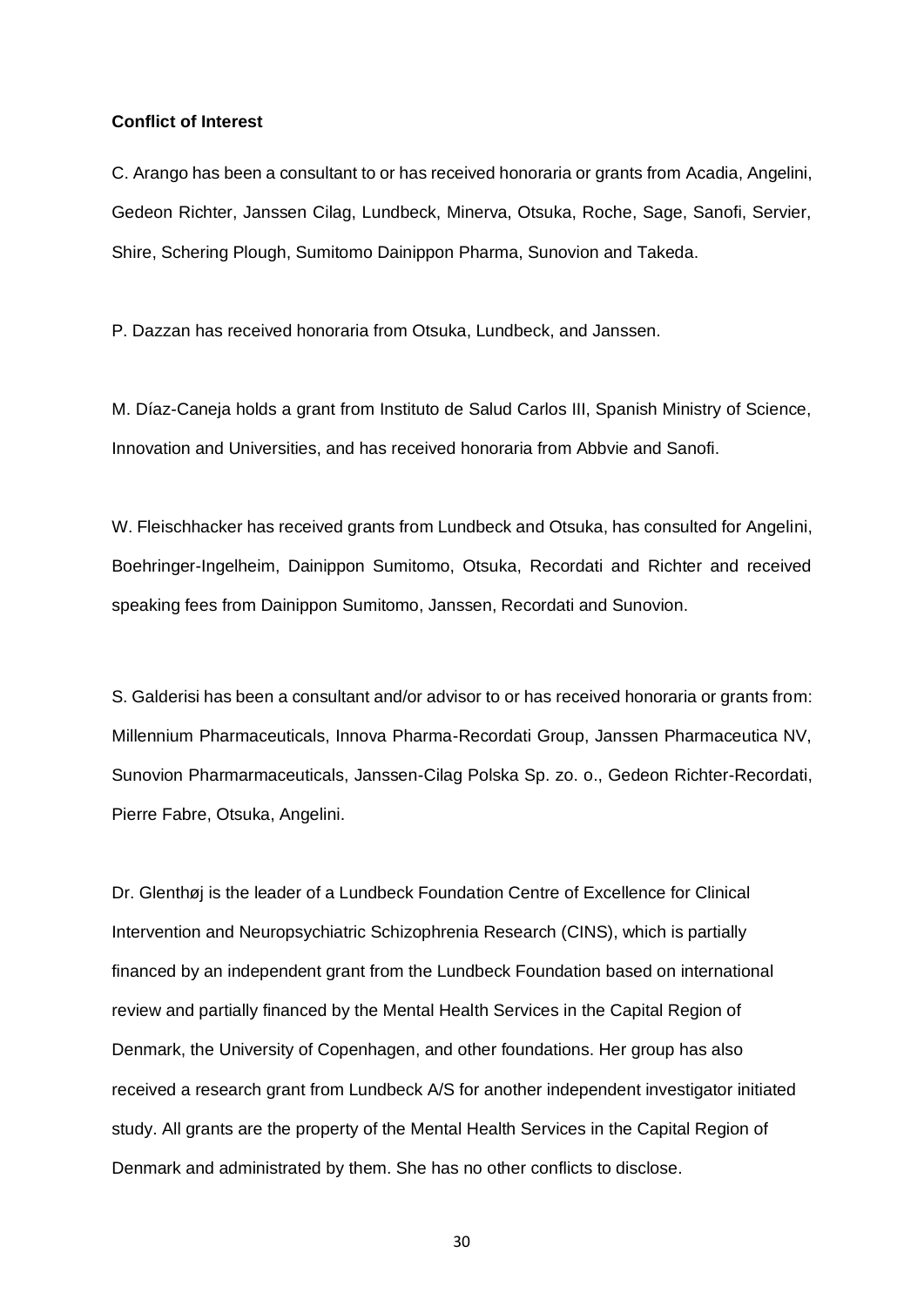# **Conflict of Interest**

C. Arango has been a consultant to or has received honoraria or grants from Acadia, Angelini, Gedeon Richter, Janssen Cilag, Lundbeck, Minerva, Otsuka, Roche, Sage, Sanofi, Servier, Shire, Schering Plough, Sumitomo Dainippon Pharma, Sunovion and Takeda.

P. Dazzan has received honoraria from Otsuka, Lundbeck, and Janssen.

M. Díaz-Caneja holds a grant from Instituto de Salud Carlos III, Spanish Ministry of Science, Innovation and Universities, and has received honoraria from Abbvie and Sanofi.

W. Fleischhacker has received grants from Lundbeck and Otsuka, has consulted for Angelini, Boehringer-Ingelheim, Dainippon Sumitomo, Otsuka, Recordati and Richter and received speaking fees from Dainippon Sumitomo, Janssen, Recordati and Sunovion.

S. Galderisi has been a consultant and/or advisor to or has received honoraria or grants from: Millennium Pharmaceuticals, Innova Pharma-Recordati Group, Janssen Pharmaceutica NV, Sunovion Pharmarmaceuticals, Janssen-Cilag Polska Sp. zo. o., Gedeon Richter-Recordati, Pierre Fabre, Otsuka, Angelini.

Dr. Glenthøj is the leader of a Lundbeck Foundation Centre of Excellence for Clinical Intervention and Neuropsychiatric Schizophrenia Research (CINS), which is partially financed by an independent grant from the Lundbeck Foundation based on international review and partially financed by the Mental Health Services in the Capital Region of Denmark, the University of Copenhagen, and other foundations. Her group has also received a research grant from Lundbeck A/S for another independent investigator initiated study. All grants are the property of the Mental Health Services in the Capital Region of Denmark and administrated by them. She has no other conflicts to disclose.